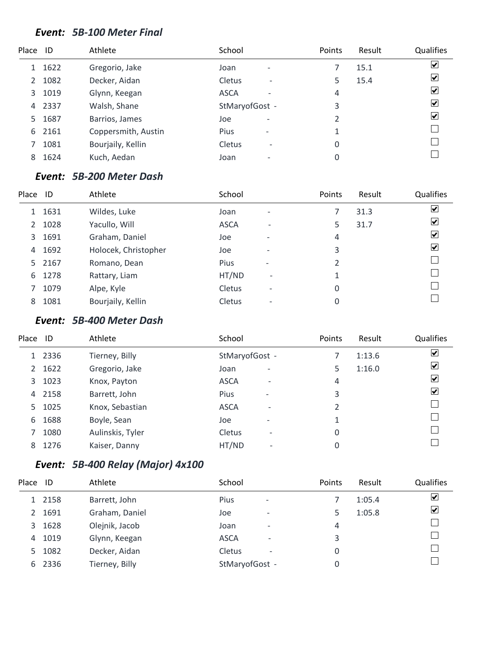#### *Event: 5B-100 Meter Final*

| Place ID |      | Athlete             | School         |                          | Points | Result | Qualifies               |
|----------|------|---------------------|----------------|--------------------------|--------|--------|-------------------------|
| 1        | 1622 | Gregorio, Jake      | Joan           | $\overline{\phantom{a}}$ |        | 15.1   | $\overline{\mathbf{v}}$ |
| 2        | 1082 | Decker, Aidan       | Cletus         | $\overline{\phantom{a}}$ | 5      | 15.4   | $\overline{\mathbf{v}}$ |
| 3        | 1019 | Glynn, Keegan       | <b>ASCA</b>    | ۰                        | 4      |        | $\overline{\mathbf{v}}$ |
| 4        | 2337 | Walsh, Shane        | StMaryofGost - |                          | 3      |        | $\overline{\mathbf{v}}$ |
| 5.       | 1687 | Barrios, James      | Joe            | $\overline{a}$           | 2      |        | $\overline{\mathbf{v}}$ |
| 6        | 2161 | Coppersmith, Austin | Pius           | $\overline{\phantom{a}}$ | 1      |        |                         |
|          | 1081 | Bourjaily, Kellin   | <b>Cletus</b>  | $\overline{\phantom{a}}$ | 0      |        |                         |
| 8        | 1624 | Kuch, Aedan         | Joan           | $\overline{\phantom{0}}$ | 0      |        |                         |
|          |      |                     |                |                          |        |        |                         |

### *Event: 5B-200 Meter Dash*

| Place | ID   | Athlete              | School        |                              | Points | Result | Qualifies               |
|-------|------|----------------------|---------------|------------------------------|--------|--------|-------------------------|
| 1     | 1631 | Wildes, Luke         | Joan          | $\overline{\phantom{0}}$     |        | 31.3   | $\overline{\mathbf{v}}$ |
| 2     | 1028 | Yacullo, Will        | <b>ASCA</b>   | ۰                            | 5.     | 31.7   | $\overline{\mathbf{v}}$ |
| 3     | 1691 | Graham, Daniel       | Joe           | $\overline{\phantom{0}}$     | 4      |        | $\overline{\mathbf{v}}$ |
| 4     | 1692 | Holocek, Christopher | Joe           | $\qquad \qquad \blacksquare$ | 3      |        | $\blacktriangledown$    |
| 5.    | 2167 | Romano, Dean         | Pius          | $\overline{\phantom{0}}$     |        |        |                         |
| 6     | 1278 | Rattary, Liam        | HT/ND         | $\overline{\phantom{a}}$     | 1      |        |                         |
|       | 1079 | Alpe, Kyle           | Cletus        | $\overline{\phantom{a}}$     | 0      |        |                         |
| 8     | 1081 | Bourjaily, Kellin    | <b>Cletus</b> | $\overline{\phantom{a}}$     | 0      |        |                         |

#### *Event: 5B-400 Meter Dash*

| Place ID      |      | Athlete          | School                             | Points | Result | Qualifies               |
|---------------|------|------------------|------------------------------------|--------|--------|-------------------------|
|               | 2336 | Tierney, Billy   | StMaryofGost -                     |        | 1:13.6 | $\overline{\mathbf{v}}$ |
| $\mathcal{L}$ | 1622 | Gregorio, Jake   | Joan<br>$\overline{\phantom{0}}$   | 5      | 1:16.0 | $\blacktriangledown$    |
| 3             | 1023 | Knox, Payton     | <b>ASCA</b><br>٠                   | 4      |        | $\blacktriangledown$    |
| 4             | 2158 | Barrett, John    | Pius<br>$\overline{\phantom{a}}$   | 3      |        | $\overline{\mathbf{v}}$ |
| 5.            | 1025 | Knox, Sebastian  | <b>ASCA</b><br>۰                   | 2      |        |                         |
| 6             | 1688 | Boyle, Sean      | Joe<br>$\overline{\phantom{0}}$    | 1      |        |                         |
|               | 1080 | Aulinskis, Tyler | Cletus<br>$\overline{\phantom{a}}$ | 0      |        |                         |
| 8             | 1276 | Kaiser, Danny    | HT/ND<br>$\overline{\phantom{a}}$  | 0      |        |                         |
|               |      |                  |                                    |        |        |                         |

### *Event: 5B-400 Relay (Major) 4x100*

| Place         | ID     | Athlete        | School         |                          | Points | Result | Qualifies                       |
|---------------|--------|----------------|----------------|--------------------------|--------|--------|---------------------------------|
|               | 1 2158 | Barrett, John  | <b>Pius</b>    | $\overline{\phantom{a}}$ |        | 1:05.4 | ⊻                               |
| $\mathcal{P}$ | 1691   | Graham, Daniel | Joe            | $\overline{\phantom{a}}$ |        | 1:05.8 | $\overline{\blacktriangledown}$ |
| 3             | 1628   | Olejnik, Jacob | Joan           | ٠                        | 4      |        |                                 |
| 4             | 1019   | Glynn, Keegan  | <b>ASCA</b>    | $\overline{\phantom{a}}$ | 3      |        |                                 |
| 5.            | 1082   | Decker, Aidan  | Cletus         | $\overline{\phantom{a}}$ | 0      |        |                                 |
| 6             | 2336   | Tierney, Billy | StMaryofGost - |                          | 0      |        |                                 |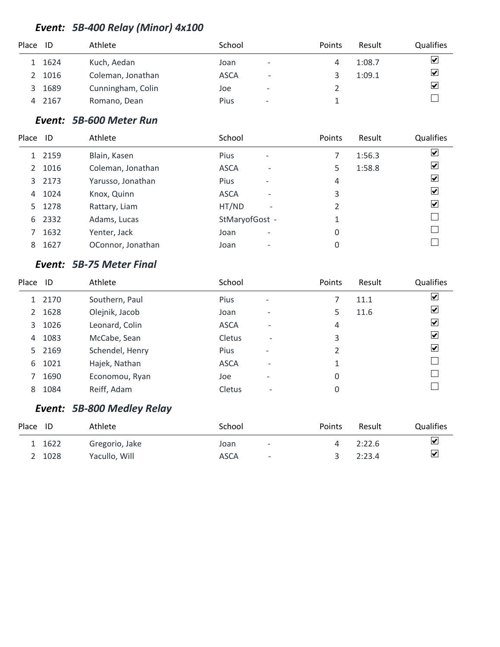### *Event: 5B-400 Relay (Minor) 4x100*

| Qualifies                       |
|---------------------------------|
| $\overline{\blacktriangledown}$ |
| $\blacktriangledown$            |
| $\overline{\mathbf{v}}$         |
|                                 |
|                                 |

#### *Event: 5B-600 Meter Run*

| Place ID              |      | Athlete           | School                                  | Points | Result | Qualifies                              |
|-----------------------|------|-------------------|-----------------------------------------|--------|--------|----------------------------------------|
|                       | 2159 | Blain, Kasen      | <b>Pius</b><br>$\overline{\phantom{a}}$ |        | 1:56.3 | $\blacktriangledown$                   |
| $\mathbf{2}^{\prime}$ | 1016 | Coleman, Jonathan | <b>ASCA</b><br>$\overline{\phantom{a}}$ | 5      | 1:58.8 | ⊻                                      |
| 3                     | 2173 | Yarusso, Jonathan | <b>Pius</b><br>$\overline{\phantom{a}}$ | 4      |        | $\left \boldsymbol{\mathsf{v}}\right $ |
| 4                     | 1024 | Knox, Quinn       | <b>ASCA</b><br>$\overline{\phantom{0}}$ | 3      |        | $\left  \mathbf{v} \right $            |
| 5.                    | 1278 | Rattary, Liam     | HT/ND<br>$\overline{\phantom{0}}$       | 2      |        | $\left  \mathbf{v} \right $            |
| 6                     | 2332 | Adams, Lucas      | StMaryofGost -                          | 1      |        |                                        |
|                       | 1632 | Yenter, Jack      | Joan<br>$\overline{\phantom{0}}$        | 0      |        |                                        |
| 8                     | 1627 | OConnor, Jonathan | Joan<br>$\overline{\phantom{0}}$        | 0      |        |                                        |

### *Event: 5B-75 Meter Final*

| Place          | ID     | Athlete         | School      |                          | Points | Result | Qualifies            |
|----------------|--------|-----------------|-------------|--------------------------|--------|--------|----------------------|
|                | 1 2170 | Southern, Paul  | <b>Pius</b> | $\overline{\phantom{a}}$ |        | 11.1   | ☑                    |
| $\overline{2}$ | 1628   | Olejnik, Jacob  | Joan        | $\overline{\phantom{0}}$ | 5      | 11.6   | ☑                    |
| 3              | 1026   | Leonard, Colin  | <b>ASCA</b> |                          | 4      |        | ⊻                    |
| 4              | 1083   | McCabe, Sean    | Cletus      | $\overline{\phantom{0}}$ | 3      |        | $\blacktriangledown$ |
|                | 5 2169 | Schendel, Henry | Pius        | $\qquad \qquad$          | 2      |        | $\blacktriangledown$ |
| 6              | 1021   | Hajek, Nathan   | <b>ASCA</b> |                          | 1      |        |                      |
|                | 1690   | Economou, Ryan  | Joe         |                          | 0      |        |                      |
| 8              | 1084   | Reiff, Adam     | Cletus      | $\overline{\phantom{0}}$ | 0      |        |                      |

### *Event: 5B-800 Medley Relay*

| Place ID |        | Athlete        | School |                          | Points | Result | Qualifies               |
|----------|--------|----------------|--------|--------------------------|--------|--------|-------------------------|
|          | 1 1622 | Gregorio, Jake | Joan   | $\overline{\phantom{a}}$ |        | 2:22.6 | ⊻                       |
|          | 2 1028 | Yacullo, Will  | ASCA   | $\overline{\phantom{a}}$ |        | 2:23.4 | $\overline{\mathbf{v}}$ |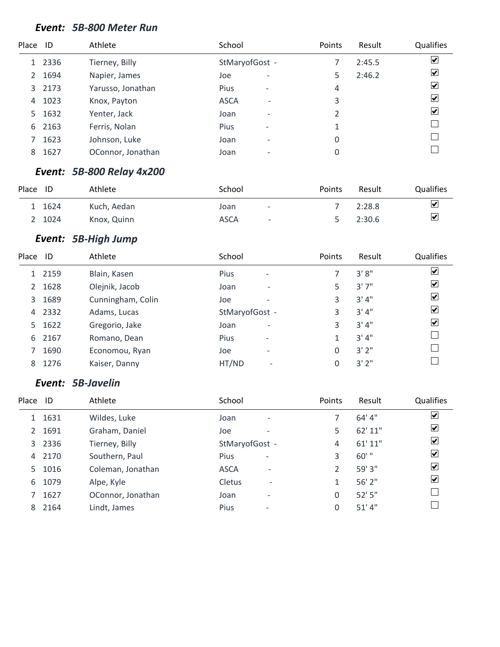#### *Event: 5B-800 Meter Run*

| Place | - ID | Athlete           | School                                  | Points | Result | Qualifies               |
|-------|------|-------------------|-----------------------------------------|--------|--------|-------------------------|
| 1     | 2336 | Tierney, Billy    | StMaryofGost -                          |        | 2:45.5 | $\overline{\mathbf{v}}$ |
| 2     | 1694 | Napier, James     | Joe<br>$\overline{\phantom{0}}$         | 5      | 2:46.2 | $\overline{\mathbf{v}}$ |
| 3     | 2173 | Yarusso, Jonathan | <b>Pius</b><br>$\overline{\phantom{a}}$ | 4      |        | $\overline{\mathbf{v}}$ |
| 4     | 1023 | Knox, Payton      | <b>ASCA</b><br>$\overline{\phantom{0}}$ | 3      |        | $\overline{\mathbf{v}}$ |
| 5.    | 1632 | Yenter, Jack      | Joan<br>$\overline{\phantom{m}}$        | 2      |        | $\overline{\mathbf{v}}$ |
| 6     | 2163 | Ferris, Nolan     | Pius<br>$\overline{\phantom{a}}$        | 1      |        |                         |
|       | 1623 | Johnson, Luke     | Joan<br>$\overline{\phantom{m}}$        | 0      |        |                         |
| 8     | 1627 | OConnor, Jonathan | Joan<br>$\overline{\phantom{0}}$        | 0      |        |                         |

#### *Event: 5B-800 Relay 4x200*

| Place | ID     | Athlete     | School      |                          | Points | Result | <b>Qualifies</b>        |
|-------|--------|-------------|-------------|--------------------------|--------|--------|-------------------------|
|       | 1 1624 | Kuch, Aedan | Joan        | $\overline{\phantom{a}}$ |        | 2:28.8 | $\blacktriangledown$    |
|       | 2 1024 | Knox, Quinn | <b>ASCA</b> | $\overline{\phantom{0}}$ |        | 2:30.6 | $\overline{\mathbf{v}}$ |

### *Event: 5B-High Jump*

| Place ID |      | Athlete           | School                                  | Points | Result | Qualifies               |
|----------|------|-------------------|-----------------------------------------|--------|--------|-------------------------|
|          | 2159 | Blain, Kasen      | <b>Pius</b><br>$\overline{\phantom{a}}$ |        | 3'8''  | $\overline{\mathbf{v}}$ |
| 2        | 1628 | Olejnik, Jacob    | Joan<br>$\overline{a}$                  | 5      | 3'7''  | ⊻                       |
| 3        | 1689 | Cunningham, Colin | Joe                                     | 3      | 3'4''  | ⊻                       |
| 4        | 2332 | Adams, Lucas      | StMaryofGost -                          | 3      | 3'4''  | $\vert \checkmark\vert$ |
| 5.       | 1622 | Gregorio, Jake    | Joan<br>$\overline{\phantom{0}}$        | 3      | 3'4''  | ☑                       |
| 6        | 2167 | Romano, Dean      | <b>Pius</b><br>$\overline{\phantom{a}}$ | 1      | 3'4''  |                         |
|          | 1690 | Economou, Ryan    | Joe<br>$\overline{\phantom{a}}$         | 0      | 3'2''  |                         |
| 8        | 1276 | Kaiser, Danny     | HT/ND                                   | 0      | 3'2"   |                         |
|          |      |                   |                                         |        |        |                         |

#### *Event: 5B-Javelin*

| Place | - ID   | Athlete           | School                                  | Points | Result  | Qualifies               |
|-------|--------|-------------------|-----------------------------------------|--------|---------|-------------------------|
|       | 1631   | Wildes, Luke      | Joan<br>$\overline{\phantom{a}}$        |        | 64' 4"  | ☑                       |
| 2     | 1691   | Graham, Daniel    | Joe                                     | 5      | 62' 11" | $\blacktriangleright$   |
|       | 3 2336 | Tierney, Billy    | StMaryofGost -                          | 4      | 61' 11" | $\blacktriangleright$   |
| 4     | 2170   | Southern, Paul    | Pius<br>$\overline{\phantom{a}}$        | 3      | $60'$ " | $\vert \checkmark\vert$ |
| 5.    | 1016   | Coleman, Jonathan | <b>ASCA</b><br>$\overline{\phantom{a}}$ | 2      | 59'3''  | $\blacktriangledown$    |
| 6     | 1079   | Alpe, Kyle        | Cletus<br>$\overline{\phantom{a}}$      | 1      | 56' 2"  | ☑                       |
|       | 1627   | OConnor, Jonathan | Joan<br>$\overline{\phantom{a}}$        | 0      | 52'5''  |                         |
| 8     | 2164   | Lindt, James      | Pius<br>$\overline{\phantom{a}}$        | 0      | 51' 4'' |                         |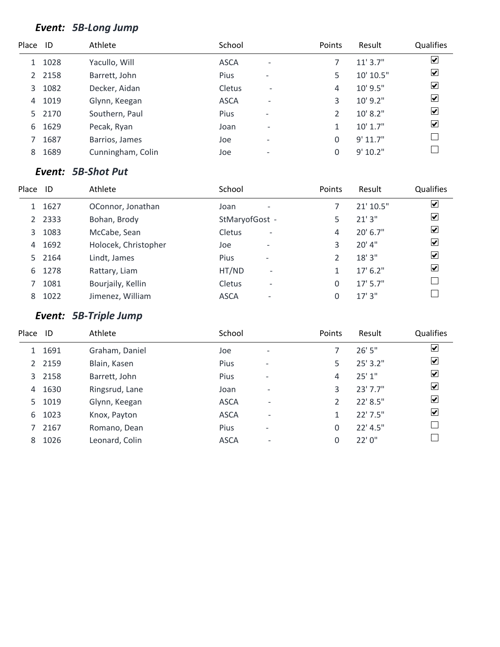### *Event: 5B-Long Jump*

| Place         | - ID   | Athlete           | School      |                          | Points         | Result       | Qualifies                       |
|---------------|--------|-------------------|-------------|--------------------------|----------------|--------------|---------------------------------|
| 1             | 1028   | Yacullo, Will     | <b>ASCA</b> | ٠                        |                | 11'3.7''     | $\blacktriangledown$            |
| $\mathcal{L}$ | 2158   | Barrett, John     | Pius        | $\overline{\phantom{a}}$ | 5              | 10' 10.5"    | $\overline{\blacktriangledown}$ |
| 3             | 1082   | Decker, Aidan     | Cletus      | $\overline{\phantom{a}}$ | 4              | 10' 9.5"     | $\blacktriangledown$            |
| 4             | 1019   | Glynn, Keegan     | <b>ASCA</b> | ۰                        | 3              | 10' 9.2"     | $\blacktriangledown$            |
|               | 5 2170 | Southern, Paul    | Pius        | $\overline{\phantom{a}}$ | $\mathfrak{D}$ | 10' 8.2"     | $\blacktriangledown$            |
| 6             | 1629   | Pecak, Ryan       | Joan        | $\overline{\phantom{0}}$ | 1              | $10'$ $1.7"$ | $\blacktriangledown$            |
|               | 1687   | Barrios, James    | Joe         | $\overline{\phantom{a}}$ | 0              | 9' 11.7"     |                                 |
| 8             | 1689   | Cunningham, Colin | Joe         | $\overline{\phantom{0}}$ | 0              | 9' 10.2"     |                                 |
|               |        |                   |             |                          |                |              |                                 |

#### *Event: 5B-Shot Put*

| Place | -ID  | Athlete              | School                                    | Points | Result     | Qualifies               |
|-------|------|----------------------|-------------------------------------------|--------|------------|-------------------------|
|       | 1627 | OConnor, Jonathan    | Joan                                      |        | 21' 10.5"  | ☑                       |
| 2     | 2333 | Bohan, Brody         | StMaryofGost -                            | 5      | 21'3''     | ☑                       |
| 3     | 1083 | McCabe, Sean         | <b>Cletus</b><br>$\overline{\phantom{a}}$ | 4      | $20'$ 6.7" | $\overline{\mathbf{v}}$ |
| 4     | 1692 | Holocek, Christopher | Joe<br>$\overline{\phantom{0}}$           | 3      | 20' 4"     | $\blacktriangledown$    |
| 5.    | 2164 | Lindt, James         | <b>Pius</b><br>$\overline{\phantom{a}}$   |        | 18'3''     | $\blacktriangledown$    |
| 6     | 1278 | Rattary, Liam        | HT/ND<br>$\overline{\phantom{0}}$         |        | $17'$ 6.2" | $\blacktriangledown$    |
|       | 1081 | Bourjaily, Kellin    | Cletus<br>$\overline{\phantom{a}}$        | 0      | $17'$ 5.7" |                         |
| 8     | 1022 | Jimenez, William     | <b>ASCA</b><br>$\overline{\phantom{0}}$   |        | 17'3''     |                         |

# *Event: 5B-Triple Jump*

| Place          | ID   | Athlete        | School      |                          | Points | Result     | Qualifies            |
|----------------|------|----------------|-------------|--------------------------|--------|------------|----------------------|
| 1              | 1691 | Graham, Daniel | Joe         | $\overline{\phantom{0}}$ |        | 26'5''     | $\blacktriangledown$ |
| $\overline{2}$ | 2159 | Blain, Kasen   | Pius        | $\overline{\phantom{0}}$ | 5      | 25' 3.2"   | $\blacktriangledown$ |
| 3              | 2158 | Barrett, John  | Pius        | $\overline{\phantom{0}}$ | 4      | 25'1"      | ☑                    |
| 4              | 1630 | Ringsrud, Lane | Joan        | $\overline{\phantom{0}}$ | 3      | $23'$ 7.7" | ⊻                    |
| 5              | 1019 | Glynn, Keegan  | <b>ASCA</b> | $\overline{\phantom{0}}$ | 2      | 22' 8.5"   | ⊻                    |
| 6              | 1023 | Knox, Payton   | <b>ASCA</b> | $\overline{\phantom{0}}$ | 1      | $22'$ 7.5" | ⊻                    |
|                | 2167 | Romano, Dean   | <b>Pius</b> | $\overline{\phantom{a}}$ | 0      | $22'$ 4.5" |                      |
| 8              | 1026 | Leonard, Colin | <b>ASCA</b> | $\overline{\phantom{0}}$ | 0      | 22'0''     |                      |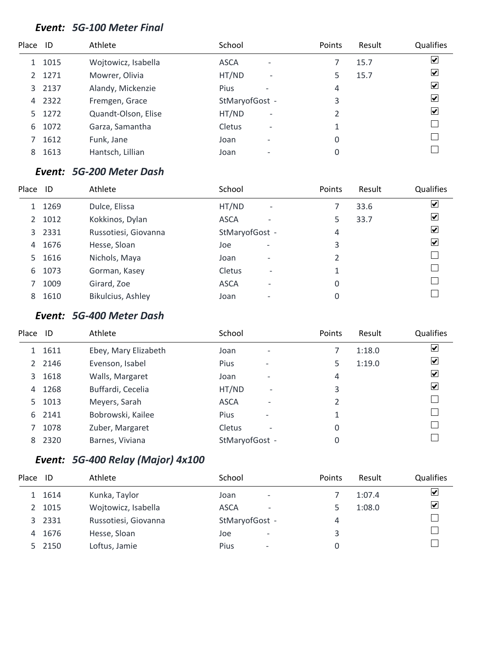#### *Event: 5G-100 Meter Final*

| $\blacktriangledown$    |
|-------------------------|
|                         |
| $\overline{\mathbf{v}}$ |
| $\vert \checkmark\vert$ |
| $\blacktriangledown$    |
| $\overline{\mathbf{v}}$ |
|                         |
|                         |
|                         |
|                         |

#### *Event: 5G-200 Meter Dash*

| Place | - ID   | Athlete              | School         |                              | Points | Result | Qualifies               |
|-------|--------|----------------------|----------------|------------------------------|--------|--------|-------------------------|
|       | 1269   | Dulce, Elissa        | HT/ND          | $\overline{\phantom{a}}$     |        | 33.6   | ☑                       |
| 2     | 1012   | Kokkinos, Dylan      | <b>ASCA</b>    | ۰                            | 5      | 33.7   | ☑                       |
|       | 3 2331 | Russotiesi, Giovanna | StMaryofGost - |                              | 4      |        | $\overline{\mathbf{v}}$ |
| 4     | 1676   | Hesse, Sloan         | Joe            | $\qquad \qquad \blacksquare$ | 3      |        | $\blacktriangledown$    |
| 5.    | 1616   | Nichols, Maya        | Joan           | $\overline{\phantom{0}}$     | 2      |        |                         |
| 6     | 1073   | Gorman, Kasey        | Cletus         | $\overline{\phantom{a}}$     |        |        |                         |
|       | 1009   | Girard, Zoe          | <b>ASCA</b>    | ۰                            | 0      |        |                         |
| 8     | 1610   | Bikulcius, Ashley    | Joan           |                              | 0      |        |                         |

### *Event: 5G-400 Meter Dash*

| Place          | - ID | Athlete              | School         |                          | <b>Points</b>  | Result | Qualifies               |
|----------------|------|----------------------|----------------|--------------------------|----------------|--------|-------------------------|
|                | 1611 | Ebey, Mary Elizabeth | Joan           | $\overline{\phantom{0}}$ |                | 1:18.0 | $\overline{\mathbf{v}}$ |
| $\overline{2}$ | 2146 | Evenson, Isabel      | <b>Pius</b>    | -                        | 5              | 1:19.0 | $\overline{\mathbf{v}}$ |
| 3              | 1618 | Walls, Margaret      | Joan           |                          | 4              |        | ⊻                       |
| 4              | 1268 | Buffardi, Cecelia    | HT/ND          | $\overline{\phantom{0}}$ | 3              |        | ⊻                       |
| 5.             | 1013 | Meyers, Sarah        | <b>ASCA</b>    | $\overline{\phantom{0}}$ | $\overline{2}$ |        |                         |
| 6              | 2141 | Bobrowski, Kailee    | <b>Pius</b>    | $\overline{\phantom{0}}$ | 1              |        |                         |
|                | 1078 | Zuber, Margaret      | Cletus         | $\overline{\phantom{0}}$ | 0              |        |                         |
| 8              | 2320 | Barnes, Viviana      | StMaryofGost - |                          | 0              |        |                         |

# *Event: 5G-400 Relay (Major) 4x100*

| Place | - ID   | Athlete              | School                                  | <b>Points</b> | Result | Qualifies |
|-------|--------|----------------------|-----------------------------------------|---------------|--------|-----------|
|       | 1614   | Kunka, Taylor        | Joan<br>$\overline{\phantom{0}}$        |               | 1:07.4 | ⊻         |
|       | 1015   | Wojtowicz, Isabella  | <b>ASCA</b><br>$\overline{\phantom{0}}$ |               | 1:08.0 | ⊻         |
|       | 3 2331 | Russotiesi, Giovanna | StMaryofGost -                          | 4             |        |           |
| 4     | 1676   | Hesse, Sloan         | Joe<br>$\overline{\phantom{a}}$         | 3             |        |           |
|       | 2150   | Loftus, Jamie        | <b>Pius</b><br>$\overline{\phantom{m}}$ |               |        |           |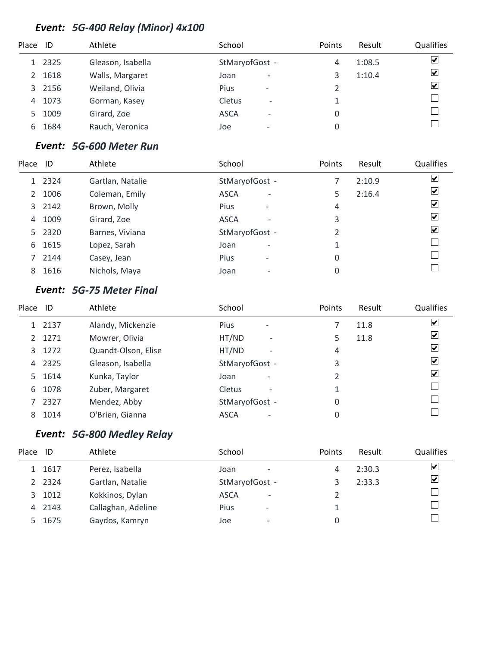### *Event: 5G-400 Relay (Minor) 4x100*

| Place         | ID     | Athlete           | School                                  | Points | Result | Qualifies               |
|---------------|--------|-------------------|-----------------------------------------|--------|--------|-------------------------|
|               | 1 2325 | Gleason, Isabella | StMaryofGost -                          | 4      | 1:08.5 | $\overline{\mathbf{v}}$ |
| $\mathcal{L}$ | 1618   | Walls, Margaret   | Joan<br>$\overline{\phantom{m}}$        |        | 1:10.4 | $\blacktriangledown$    |
| 3             | 2156   | Weiland, Olivia   | <b>Pius</b><br>$\overline{\phantom{a}}$ |        |        | $\blacktriangledown$    |
| 4             | 1073   | Gorman, Kasey     | Cletus<br>$\overline{\phantom{a}}$      |        |        |                         |
| 5.            | 1009   | Girard, Zoe       | <b>ASCA</b><br>$\overline{\phantom{a}}$ |        |        |                         |
| 6             | 1684   | Rauch, Veronica   | Joe<br>$\overline{\phantom{0}}$         |        |        |                         |

### *Event: 5G-600 Meter Run*

| Place | ID     | Athlete          | School                                  | Points | Result | Qualifies                    |
|-------|--------|------------------|-----------------------------------------|--------|--------|------------------------------|
|       | 1 2324 | Gartlan, Natalie | StMaryofGost -                          |        | 2:10.9 | $\overline{\mathbf{v}}$      |
| 2     | 1006   | Coleman, Emily   | <b>ASCA</b><br>$\overline{\phantom{a}}$ | 5.     | 2:16.4 | ⊻                            |
|       | 3 2142 | Brown, Molly     | <b>Pius</b><br>$\overline{\phantom{a}}$ | 4      |        | ☑                            |
| 4     | 1009   | Girard, Zoe      | <b>ASCA</b><br>$\overline{\phantom{a}}$ | 3      |        | ☑                            |
|       | 5 2320 | Barnes, Viviana  | StMaryofGost -                          |        |        | $\boxed{\blacktriangledown}$ |
|       | 6 1615 | Lopez, Sarah     | Joan<br>٠                               |        |        |                              |
|       | 2144   | Casey, Jean      | <b>Pius</b><br>$\qquad \qquad$          | 0      |        |                              |
| 8     | 1616   | Nichols, Maya    | Joan<br>$\overline{\phantom{a}}$        | 0      |        |                              |
|       |        |                  |                                         |        |        |                              |

### *Event: 5G-75 Meter Final*

| Place         | - ID   | Athlete             | School                                    | Points | Result | Qualifies               |
|---------------|--------|---------------------|-------------------------------------------|--------|--------|-------------------------|
|               | 1 2137 | Alandy, Mickenzie   | <b>Pius</b>                               |        | 11.8   | $\overline{\mathbf{v}}$ |
| $\mathcal{P}$ | 1271   | Mowrer, Olivia      | HT/ND<br>$\overline{\phantom{a}}$         | 5      | 11.8   | $\overline{\mathbf{v}}$ |
| 3             | 1272   | Quandt-Olson, Elise | HT/ND<br>$\overline{a}$                   | 4      |        | $\overline{\mathbf{v}}$ |
| 4             | 2325   | Gleason, Isabella   | StMaryofGost -                            | 3      |        | $\overline{\mathbf{v}}$ |
| 5             | 1614   | Kunka, Taylor       | Joan<br>$\overline{\phantom{0}}$          | 2      |        | $\overline{\mathbf{v}}$ |
| 6             | 1078   | Zuber, Margaret     | <b>Cletus</b><br>$\overline{\phantom{a}}$ |        |        |                         |
|               | 2327   | Mendez, Abby        | StMaryofGost -                            | 0      |        |                         |
| 8             | 1014   | O'Brien, Gianna     | <b>ASCA</b><br>۰                          | 0      |        |                         |

# *Event: 5G-800 Medley Relay*

| Place | ID     | Athlete            | School         |                          | Points | Result | Qualifies               |
|-------|--------|--------------------|----------------|--------------------------|--------|--------|-------------------------|
|       | 1 1617 | Perez, Isabella    | Joan           | $\overline{\phantom{m}}$ | 4      | 2:30.3 | $\blacktriangleright$   |
|       | 2 2324 | Gartlan, Natalie   | StMaryofGost - |                          |        | 2:33.3 | $\overline{\mathbf{v}}$ |
|       | 3 1012 | Kokkinos, Dylan    | <b>ASCA</b>    | $\overline{\phantom{a}}$ |        |        |                         |
|       | 4 2143 | Callaghan, Adeline | <b>Pius</b>    | $\qquad \qquad$          |        |        |                         |
|       | 5 1675 | Gaydos, Kamryn     | Joe            | $\overline{\phantom{0}}$ |        |        |                         |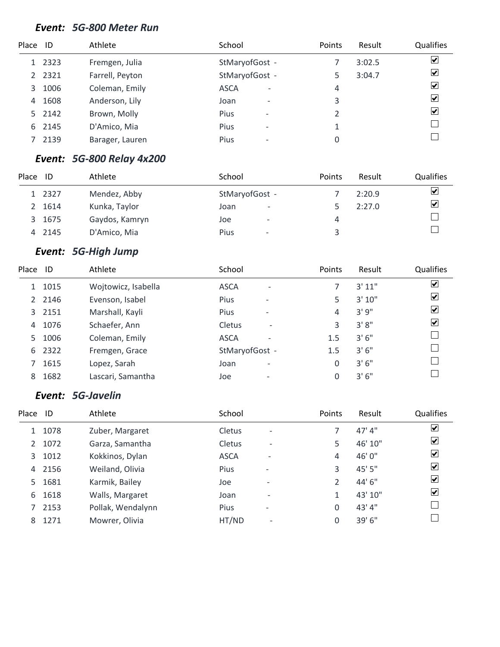#### *Event: 5G-800 Meter Run*

| Place ID |        | Athlete         | School                                  | Points | Result | Qualifies                       |
|----------|--------|-----------------|-----------------------------------------|--------|--------|---------------------------------|
|          | 1 2323 | Fremgen, Julia  | StMaryofGost -                          |        | 3:02.5 | ⊻                               |
|          | 2 2321 | Farrell, Peyton | StMaryofGost -                          | 5.     | 3:04.7 | $\overline{\mathbf{v}}$         |
| 3        | 1006   | Coleman, Emily  | <b>ASCA</b><br>$\overline{\phantom{a}}$ | 4      |        | $\overline{\mathbf{v}}$         |
| 4        | 1608   | Anderson, Lily  | Joan<br>$\overline{\phantom{m}}$        | 3      |        | $\overline{\mathbf{v}}$         |
|          | 5 2142 | Brown, Molly    | <b>Pius</b><br>$\overline{\phantom{a}}$ |        |        | $\overline{\blacktriangledown}$ |
| 6        | 2145   | D'Amico, Mia    | <b>Pius</b>                             |        |        |                                 |
|          | 2139   | Barager, Lauren | Pius<br>$\overline{\phantom{0}}$        |        |        |                                 |

#### *Event: 5G-800 Relay 4x200*

| Place | ID     | Athlete        | School                           | Points | Result | <b>Qualifies</b>        |
|-------|--------|----------------|----------------------------------|--------|--------|-------------------------|
|       | 1 2327 | Mendez, Abby   | StMaryofGost -                   |        | 2:20.9 | $\overline{\mathbf{v}}$ |
|       | 1614   | Kunka, Taylor  | Joan<br>$\overline{\phantom{a}}$ |        | 2:27.0 | $\overline{\mathbf{v}}$ |
| 3.    | 1675   | Gaydos, Kamryn | Joe<br>$\overline{\phantom{0}}$  | 4      |        |                         |
|       | 2145   | D'Amico, Mia   | Pius<br>$\overline{\phantom{0}}$ |        |        |                         |

### *Event: 5G-High Jump*

| Place | ID     | Athlete             | School                                    | Points | Result | Qualifies               |
|-------|--------|---------------------|-------------------------------------------|--------|--------|-------------------------|
| 1     | 1015   | Wojtowicz, Isabella | <b>ASCA</b><br>$\overline{\phantom{0}}$   |        | 3' 11" | $\overline{\mathbf{v}}$ |
|       | 2 2146 | Evenson, Isabel     | Pius<br>$\overline{\phantom{a}}$          | 5      | 3'10'' | $\overline{\mathbf{v}}$ |
|       | 3 2151 | Marshall, Kayli     | Pius<br>$\overline{\phantom{0}}$          | 4      | 3'9''  | ☑                       |
| 4     | 1076   | Schaefer, Ann       | <b>Cletus</b><br>$\overline{\phantom{a}}$ | 3      | 3'8''  | $\overline{\mathbf{v}}$ |
| 5.    | 1006   | Coleman, Emily      | <b>ASCA</b><br>$\overline{\phantom{0}}$   | 1.5    | 3'6''  |                         |
| 6     | 2322   | Fremgen, Grace      | StMaryofGost -                            | 1.5    | 3'6''  |                         |
|       | 1615   | Lopez, Sarah        | Joan<br>$\overline{\phantom{0}}$          | 0      | 3'6''  |                         |
| 8     | 1682   | Lascari, Samantha   | Joe<br>$\qquad \qquad$                    | 0      | 3'6''  |                         |

### *Event: 5G-Javelin*

| Place         | ID   | Athlete           | School      |                          | Points        | Result  | Qualifies               |
|---------------|------|-------------------|-------------|--------------------------|---------------|---------|-------------------------|
|               | 1078 | Zuber, Margaret   | Cletus      | $\overline{\phantom{a}}$ |               | 47' 4'' | $\blacktriangledown$    |
| $\mathcal{L}$ | 1072 | Garza, Samantha   | Cletus      | $\overline{\phantom{a}}$ | 5             | 46' 10" | $\blacktriangleright$   |
| 3             | 1012 | Kokkinos, Dylan   | <b>ASCA</b> | ۰                        | 4             | 46'0"   | $\overline{\mathbf{v}}$ |
| 4             | 2156 | Weiland, Olivia   | <b>Pius</b> | $\qquad \qquad$          | 3             | 45' 5"  | $\overline{\mathbf{v}}$ |
| 5.            | 1681 | Karmik, Bailey    | Joe         | $\overline{\phantom{0}}$ | $\mathfrak z$ | 44' 6"  | $\overline{\mathbf{v}}$ |
| 6             | 1618 | Walls, Margaret   | Joan        | $\overline{\phantom{0}}$ | 1             | 43' 10" | ☑                       |
| 7             | 2153 | Pollak, Wendalynn | <b>Pius</b> | $\overline{\phantom{a}}$ | 0             | 43'4"   |                         |
| 8             | 1271 | Mowrer, Olivia    | HT/ND       | $\overline{\phantom{a}}$ | 0             | 39' 6"  |                         |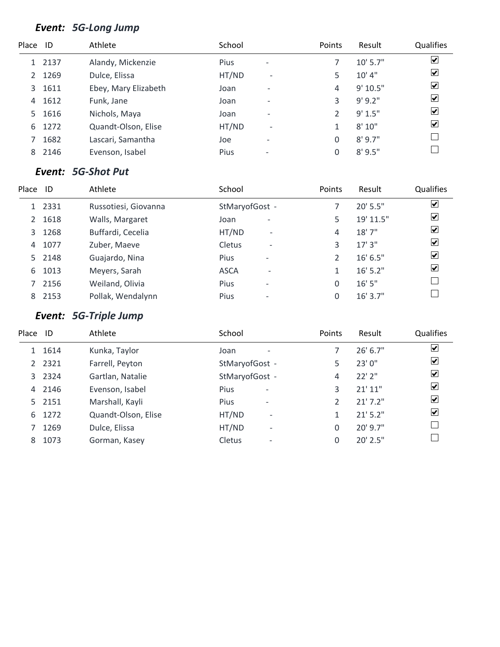### *Event: 5G-Long Jump*

| Place ID |        | Athlete              | School |                              | Points   | Result     | Qualifies               |
|----------|--------|----------------------|--------|------------------------------|----------|------------|-------------------------|
|          | 1 2137 | Alandy, Mickenzie    | Pius   | $\overline{\phantom{a}}$     |          | $10'$ 5.7" | $\blacktriangledown$    |
| 2        | 1269   | Dulce, Elissa        | HT/ND  | $\qquad \qquad -$            | 5        | 10' 4''    | ☑                       |
| 3        | 1611   | Ebey, Mary Elizabeth | Joan   | $\overline{\phantom{0}}$     | 4        | 9'10.5"    | $\blacktriangledown$    |
| 4        | 1612   | Funk, Jane           | Joan   | $\overline{\phantom{0}}$     | 3        | $9'$ 9.2"  | $\overline{\mathbf{v}}$ |
| 5.       | 1616   | Nichols, Maya        | Joan   | $\overline{\phantom{0}}$     | C.       | 9' 1.5"    | ☑                       |
| 6        | 1272   | Quandt-Olson, Elise  | HT/ND  | $\overline{\phantom{a}}$     | 1        | 8'10"      | $\blacktriangledown$    |
|          | 1682   | Lascari, Samantha    | Joe    | $\qquad \qquad \blacksquare$ | 0        | 8'9.7''    |                         |
| 8        | 2146   | Evenson, Isabel      | Pius   | $\overline{\phantom{0}}$     | $\Omega$ | $8'$ 9.5"  |                         |

### *Event: 5G-Shot Put*

| Place         | ID     | Athlete              | School                                  | Points | Result     | Qualifies               |
|---------------|--------|----------------------|-----------------------------------------|--------|------------|-------------------------|
|               | 1 2331 | Russotiesi, Giovanna | StMaryofGost -                          |        | 20' 5.5"   | $\overline{\mathbf{v}}$ |
| $\mathcal{P}$ | 1618   | Walls, Margaret      | Joan<br>۰                               | 5      | 19' 11.5"  | $\blacktriangleright$   |
| 3             | 1268   | Buffardi, Cecelia    | HT/ND<br>$\overline{\phantom{a}}$       | 4      | 18'7''     | $\overline{\mathbf{v}}$ |
| 4             | 1077   | Zuber, Maeve         | Cletus<br>$\qquad \qquad$               | 3      | 17'3''     | $\blacktriangledown$    |
|               | 5 2148 | Guajardo, Nina       | <b>Pius</b><br>$\overline{\phantom{0}}$ | 2      | 16' 6.5''  | $\blacktriangledown$    |
| 6             | 1013   | Meyers, Sarah        | <b>ASCA</b><br>$\overline{\phantom{0}}$ |        | $16'$ 5.2" | $\blacktriangledown$    |
|               | 2156   | Weiland, Olivia      | Pius<br>$\overline{\phantom{0}}$        | 0      | 16'5''     |                         |
| 8             | 2153   | Pollak, Wendalynn    | <b>Pius</b>                             | 0      | $16'$ 3.7" |                         |

# *Event: 5G-Triple Jump*

| Place | ID        | Athlete             | School                                  | Points | Result      | Qualifies               |
|-------|-----------|---------------------|-----------------------------------------|--------|-------------|-------------------------|
|       | 1 1614    | Kunka, Taylor       | Joan<br>$\overline{\phantom{0}}$        |        | 26' 6.7''   | $\overline{\mathbf{v}}$ |
|       | 2 2 3 2 1 | Farrell, Peyton     | StMaryofGost -                          | 5      | 23'0"       | $\overline{\mathbf{v}}$ |
| 3     | 2324      | Gartlan, Natalie    | StMaryofGost -                          | 4      | $22'$ $2''$ | $\overline{\mathbf{v}}$ |
| 4     | 2146      | Evenson, Isabel     | <b>Pius</b><br>$\overline{\phantom{a}}$ | 3      | 21'11''     | ⊻                       |
| 5     | 2151      | Marshall, Kayli     | <b>Pius</b><br>$\overline{\phantom{a}}$ |        | 21'7.2"     | ☑                       |
| 6     | 1272      | Quandt-Olson, Elise | HT/ND<br>$\overline{\phantom{0}}$       | 1      | $21'$ 5.2"  | ☑                       |
|       | 1269      | Dulce, Elissa       | HT/ND<br>$\overline{\phantom{0}}$       | 0      | 20' 9.7"    |                         |
| 8     | 1073      | Gorman, Kasey       | <b>Cletus</b><br>$\overline{a}$         | 0      | 20' 2.5"    |                         |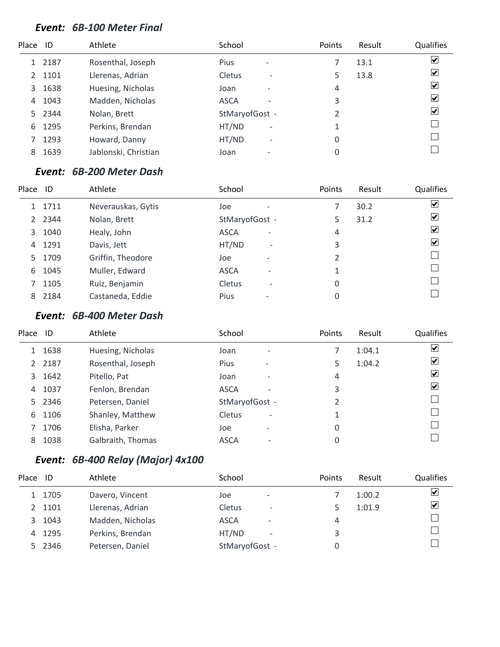#### *Event: 6B-100 Meter Final*

| Place ID |      | Athlete              | School                                  | Points | Result | Qualifies               |
|----------|------|----------------------|-----------------------------------------|--------|--------|-------------------------|
|          | 2187 | Rosenthal, Joseph    | Pius<br>$\qquad \qquad$                 |        | 13.1   | $\blacktriangledown$    |
| 2        | 1101 | Llerenas, Adrian     | Cletus<br>$\overline{\phantom{a}}$      | 5      | 13.8   | ⊻                       |
| 3        | 1638 | Huesing, Nicholas    | Joan<br>$\overline{\phantom{0}}$        | 4      |        | ⊻                       |
| 4        | 1043 | Madden, Nicholas     | <b>ASCA</b><br>$\overline{\phantom{0}}$ | 3      |        | $\blacktriangledown$    |
| 5.       | 2344 | Nolan, Brett         | StMaryofGost -                          | 2      |        | $\vert \checkmark\vert$ |
| 6        | 1295 | Perkins, Brendan     | HT/ND<br>$\overline{\phantom{a}}$       |        |        |                         |
|          | 1293 | Howard, Danny        | HT/ND<br>$\overline{\phantom{a}}$       | 0      |        |                         |
| 8        | 1639 | Jablonski, Christian | Joan                                    | 0      |        |                         |

#### *Event: 6B-200 Meter Dash*

| Place         | ID     | Athlete            | School                                  | Points | Result | Qualifies               |
|---------------|--------|--------------------|-----------------------------------------|--------|--------|-------------------------|
|               | 1 1711 | Neverauskas, Gytis | Joe<br>$\overline{\phantom{0}}$         |        | 30.2   | $\overline{\mathbf{v}}$ |
| $\mathcal{L}$ | 2344   | Nolan, Brett       | StMaryofGost -                          | 5      | 31.2   | $\overline{\mathbf{v}}$ |
| 3             | 1040   | Healy, John        | <b>ASCA</b><br>$\overline{\phantom{0}}$ | 4      |        | $\overline{\mathbf{v}}$ |
| 4             | 1291   | Davis, Jett        | HT/ND<br>$\overline{\phantom{a}}$       | 3      |        | $\blacktriangledown$    |
| 5.            | 1709   | Griffin, Theodore  | Joe<br>$\overline{\phantom{0}}$         | 2      |        |                         |
| 6             | 1045   | Muller, Edward     | <b>ASCA</b><br>$\overline{\phantom{0}}$ | 1      |        |                         |
|               | 1105   | Ruiz, Benjamin     | Cletus<br>$\overline{\phantom{0}}$      | 0      |        |                         |
| 8             | 2184   | Castaneda, Eddie   | Pius<br>$\overline{\phantom{0}}$        | 0      |        |                         |

### *Event: 6B-400 Meter Dash*

| Place ID       |      | Athlete           | School                                  | Points         | Result | Qualifies               |
|----------------|------|-------------------|-----------------------------------------|----------------|--------|-------------------------|
|                | 1638 | Huesing, Nicholas | Joan<br>$\overline{\phantom{0}}$        |                | 1:04.1 | $\overline{\mathbf{v}}$ |
| $\overline{2}$ | 2187 | Rosenthal, Joseph | <b>Pius</b><br>-                        | 5              | 1:04.2 | $\vert \checkmark\vert$ |
| 3              | 1642 | Pitello, Pat      | Joan<br>$\overline{\phantom{0}}$        | 4              |        | ⊻                       |
| 4              | 1037 | Fenlon, Brendan   | <b>ASCA</b><br>$\overline{\phantom{0}}$ | 3              |        | ⊻                       |
| 5.             | 2346 | Petersen, Daniel  | StMaryofGost -                          | $\overline{2}$ |        |                         |
| 6              | 1106 | Shanley, Matthew  | Cletus<br>$\overline{\phantom{a}}$      | 1              |        |                         |
|                | 1706 | Elisha, Parker    | Joe<br>$\overline{\phantom{a}}$         | 0              |        |                         |
| 8              | 1038 | Galbraith, Thomas | <b>ASCA</b><br>$\overline{\phantom{a}}$ | 0              |        |                         |

# *Event: 6B-400 Relay (Major) 4x100*

| Place         | -ID  | Athlete          | School                                    | <b>Points</b> | Result | Qualifies |
|---------------|------|------------------|-------------------------------------------|---------------|--------|-----------|
|               | 1705 | Davero, Vincent  | Joe<br>$\overline{\phantom{a}}$           |               | 1:00.2 | ⊻         |
| $\mathcal{L}$ | 1101 | Llerenas, Adrian | <b>Cletus</b><br>$\overline{\phantom{0}}$ |               | 1:01.9 | ⊻         |
| 3             | 1043 | Madden, Nicholas | <b>ASCA</b><br>$\overline{\phantom{0}}$   | 4             |        |           |
| 4             | 1295 | Perkins, Brendan | HT/ND<br>$\overline{\phantom{a}}$         | 3             |        |           |
|               | 2346 | Petersen, Daniel | StMaryofGost -                            |               |        |           |
|               |      |                  |                                           |               |        |           |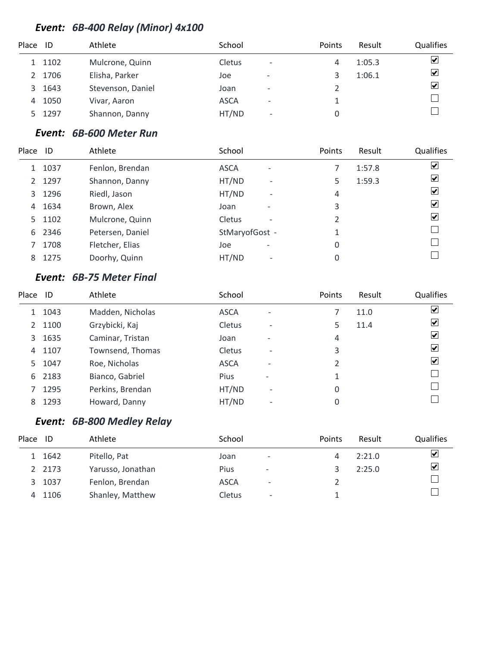### *Event: 6B-400 Relay (Minor) 4x100*

| Place | ID   | Athlete           | School      |                              | Points | Result | Qualifies            |
|-------|------|-------------------|-------------|------------------------------|--------|--------|----------------------|
|       | 1102 | Mulcrone, Quinn   | Cletus      | $\overline{\phantom{a}}$     | 4      | 1:05.3 | ⊻                    |
| 2     | 1706 | Elisha, Parker    | Joe         | $\qquad \qquad \blacksquare$ |        | 1:06.1 | $\blacktriangledown$ |
| 3     | 1643 | Stevenson, Daniel | Joan        | $\overline{\phantom{0}}$     |        |        | $\blacktriangledown$ |
| 4     | 1050 | Vivar, Aaron      | <b>ASCA</b> | ۰                            |        |        |                      |
|       | 1297 | Shannon, Danny    | HT/ND       | $\overline{\phantom{a}}$     |        |        |                      |

### *Event: 6B-600 Meter Run*

| Place ID |      | Athlete          | School                                  | Points | Result | Qualifies               |
|----------|------|------------------|-----------------------------------------|--------|--------|-------------------------|
|          | 1037 | Fenlon, Brendan  | <b>ASCA</b><br>$\overline{\phantom{a}}$ |        | 1:57.8 | $\blacktriangledown$    |
| 2        | 1297 | Shannon, Danny   | HT/ND<br>$\overline{\phantom{0}}$       | 5      | 1:59.3 | ⊻                       |
| 3        | 1296 | Riedl, Jason     | HT/ND<br>$\overline{\phantom{0}}$       | 4      |        | ⊻                       |
| 4        | 1634 | Brown, Alex      | Joan<br>$\overline{\phantom{0}}$        | 3      |        | ⊻                       |
| 5.       | 1102 | Mulcrone, Quinn  | Cletus<br>$\overline{\phantom{0}}$      | 2      |        | $\vert \checkmark\vert$ |
| 6        | 2346 | Petersen, Daniel | StMaryofGost -                          | 1      |        |                         |
|          | 1708 | Fletcher, Elias  | Joe<br>$\overline{\phantom{0}}$         | 0      |        |                         |
| 8        | 1275 | Doorhy, Quinn    | HT/ND<br>$\qquad \qquad$                | 0      |        |                         |

### *Event: 6B-75 Meter Final*

| Place | ID   | Athlete          | School      |                          | Points         | Result | Qualifies            |
|-------|------|------------------|-------------|--------------------------|----------------|--------|----------------------|
|       | 1043 | Madden, Nicholas | <b>ASCA</b> | $\overline{\phantom{0}}$ |                | 11.0   | ☑                    |
| 2     | 1100 | Grzybicki, Kaj   | Cletus      | $\overline{\phantom{a}}$ | 5              | 11.4   | ☑                    |
| 3     | 1635 | Caminar, Tristan | Joan        | ٠                        | 4              |        | $\blacktriangledown$ |
| 4     | 1107 | Townsend, Thomas | Cletus      | $\overline{\phantom{a}}$ | 3              |        | $\blacktriangledown$ |
| 5.    | 1047 | Roe, Nicholas    | <b>ASCA</b> | $\overline{\phantom{0}}$ | $\mathfrak{D}$ |        | $\blacktriangledown$ |
| 6     | 2183 | Bianco, Gabriel  | <b>Pius</b> | $\qquad \qquad$          |                |        |                      |
|       | 1295 | Perkins, Brendan | HT/ND       | $\overline{\phantom{a}}$ | 0              |        |                      |
| 8     | 1293 | Howard, Danny    | HT/ND       | $\overline{\phantom{0}}$ | 0              |        |                      |

### *Event: 6B-800 Medley Relay*

| Place | ID     | Athlete           | School      |                          | Points | Result | <b>Qualifies</b>     |
|-------|--------|-------------------|-------------|--------------------------|--------|--------|----------------------|
|       | 1642   | Pitello, Pat      | Joan        | $\overline{\phantom{0}}$ |        | 2:21.0 | ☑                    |
|       | 2 2173 | Yarusso, Jonathan | Pius        | -                        |        | 2:25.0 | $\blacktriangledown$ |
| 3     | 1037   | Fenlon, Brendan   | <b>ASCA</b> | $\overline{\phantom{a}}$ |        |        |                      |
|       | 4 1106 | Shanley, Matthew  | Cletus      | $\overline{\phantom{a}}$ |        |        |                      |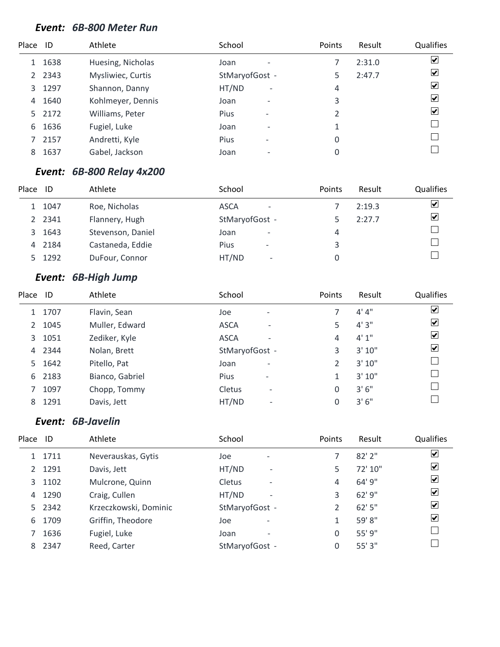#### *Event: 6B-800 Meter Run*

| Place | ID     | Athlete           | School                            | Points | Result | Qualifies                    |
|-------|--------|-------------------|-----------------------------------|--------|--------|------------------------------|
| 1     | 1638   | Huesing, Nicholas | Joan                              |        | 2:31.0 | $\blacktriangledown$         |
| 2     | 2343   | Mysliwiec, Curtis | StMaryofGost -                    | 5      | 2:47.7 | $\blacktriangledown$         |
| 3     | 1297   | Shannon, Danny    | HT/ND<br>$\overline{\phantom{a}}$ | 4      |        | $\blacktriangledown$         |
| 4     | 1640   | Kohlmeyer, Dennis | Joan<br>$\overline{\phantom{a}}$  | 3      |        | $\boxed{\blacktriangledown}$ |
|       | 5 2172 | Williams, Peter   | <b>Pius</b>                       |        |        | $\overline{\mathbf{v}}$      |
| 6     | 1636   | Fugiel, Luke      | Joan<br>۰                         |        |        |                              |
|       | 2157   | Andretti, Kyle    | <b>Pius</b>                       | 0      |        |                              |
| 8     | 1637   | Gabel, Jackson    | Joan                              | 0      |        |                              |

#### *Event: 6B-800 Relay 4x200*

| Place | ID     | Athlete           | School                                  | <b>Points</b> | Result | <b>Qualifies</b>        |
|-------|--------|-------------------|-----------------------------------------|---------------|--------|-------------------------|
|       | 1 1047 | Roe, Nicholas     | <b>ASCA</b><br>$\overline{\phantom{a}}$ |               | 2:19.3 | ☑                       |
|       | 2 2341 | Flannery, Hugh    | StMaryofGost -                          |               | 2:27.7 | $\overline{\mathbf{v}}$ |
|       | 3 1643 | Stevenson, Daniel | Joan<br>$\overline{\phantom{0}}$        | 4             |        |                         |
|       | 4 2184 | Castaneda, Eddie  | <b>Pius</b><br>$\overline{\phantom{0}}$ | 3.            |        |                         |
|       | 5 1292 | DuFour, Connor    | HT/ND<br>$\overline{\phantom{a}}$       |               |        |                         |

# *Event: 6B-High Jump*

| Place ID      |      | Athlete         | School                                  | Points         | Result  | Qualifies               |
|---------------|------|-----------------|-----------------------------------------|----------------|---------|-------------------------|
| 1             | 1707 | Flavin, Sean    | Joe<br>$\overline{\phantom{0}}$         |                | 4' 4''  | $\overline{\mathbf{v}}$ |
| $\mathcal{P}$ | 1045 | Muller, Edward  | <b>ASCA</b><br>$\overline{\phantom{a}}$ | 5              | 4'3''   | $\overline{\mathbf{v}}$ |
| 3             | 1051 | Zediker, Kyle   | <b>ASCA</b><br>$\overline{\phantom{0}}$ | 4              | 4'1''   | $\overline{\mathbf{v}}$ |
| 4             | 2344 | Nolan, Brett    | StMaryofGost -                          | 3              | 3' 10'' | $\blacktriangledown$    |
| 5.            | 1642 | Pitello, Pat    | Joan<br>$\overline{\phantom{a}}$        | $\mathfrak{D}$ | 3'10''  |                         |
| 6             | 2183 | Bianco, Gabriel | Pius<br>$\overline{\phantom{a}}$        |                | 3' 10'' | L                       |
|               | 1097 | Chopp, Tommy    | Cletus<br>$\qquad \qquad$               | 0              | 3'6''   |                         |
| 8             | 1291 | Davis, Jett     | HT/ND<br>$\overline{\phantom{a}}$       | 0              | 3'6''   |                         |

### *Event: 6B-Javelin*

| Place         | ID     | Athlete               | School                            | Points | Result  | <b>Qualifies</b>     |
|---------------|--------|-----------------------|-----------------------------------|--------|---------|----------------------|
|               | 1 1711 | Neverauskas, Gytis    | Joe<br>$\overline{\phantom{a}}$   |        | 82'2''  | $\blacktriangledown$ |
| $\mathcal{P}$ | 1291   | Davis, Jett           | HT/ND<br>$\overline{\phantom{a}}$ | 5.     | 72' 10" | $\blacktriangledown$ |
| 3             | 1102   | Mulcrone, Quinn       | <b>Cletus</b><br>$\qquad \qquad$  | 4      | 64' 9"  | ☑                    |
| 4             | 1290   | Craig, Cullen         | HT/ND<br>$\overline{\phantom{a}}$ | 3      | 62' 9"  | ☑                    |
| 5.            | 2342   | Krzeczkowski, Dominic | StMaryofGost -                    |        | 62'5''  | ☑                    |
| 6.            | 1709   | Griffin, Theodore     | Joe<br>$\overline{\phantom{a}}$   |        | 59'8"   | ☑                    |
|               | 1636   | Fugiel, Luke          | Joan<br>$\overline{\phantom{a}}$  | 0      | 55' 9"  |                      |
| 8.            | 2347   | Reed, Carter          | StMaryofGost -                    | 0      | 55'3"   |                      |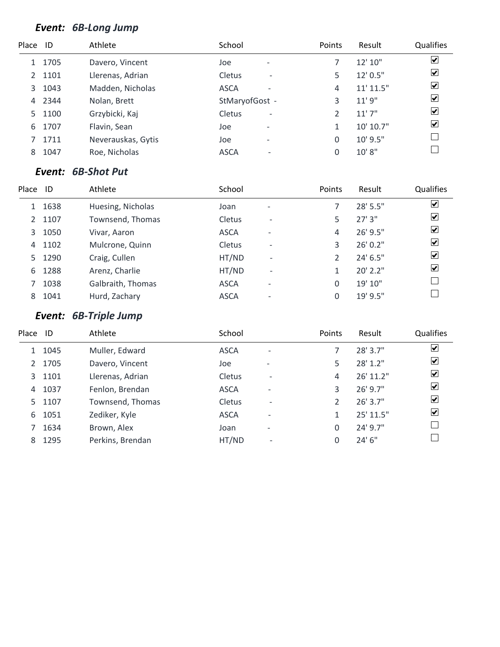### *Event: 6B-Long Jump*

| Place ID |      | Athlete            | School                             | Points | Result        | Qualifies               |
|----------|------|--------------------|------------------------------------|--------|---------------|-------------------------|
|          | 1705 | Davero, Vincent    | Joe<br>$\overline{\phantom{a}}$    |        | 12' 10"       | $\overline{\mathbf{v}}$ |
| 2        | 1101 | Llerenas, Adrian   | Cletus<br>$\overline{\phantom{a}}$ | 5      | 12' 0.5"      | $\overline{\mathbf{v}}$ |
| 3        | 1043 | Madden, Nicholas   | <b>ASCA</b><br>۰                   | 4      | $11'$ $11.5"$ | $\overline{\mathbf{v}}$ |
| 4        | 2344 | Nolan, Brett       | StMaryofGost -                     | 3      | 11'9''        | $\overline{\mathbf{v}}$ |
| 5.       | 1100 | Grzybicki, Kaj     | Cletus<br>$\overline{\phantom{0}}$ | 2      | 11'7''        | $\overline{\mathbf{v}}$ |
| 6        | 1707 | Flavin, Sean       | Joe<br>$\overline{a}$              | 1      | 10' 10.7"     | $\overline{\mathbf{v}}$ |
|          | 1711 | Neverauskas, Gytis | Joe<br>$\qquad \qquad$             | 0      | 10' 9.5"      |                         |
| 8        | 1047 | Roe, Nicholas      | <b>ASCA</b><br>٠                   | 0      | 10'8"         |                         |

#### *Event: 6B-Shot Put*

| Place | ID   | Athlete           | School        |                          | Points        | Result   | Qualifies               |
|-------|------|-------------------|---------------|--------------------------|---------------|----------|-------------------------|
| 1     | 1638 | Huesing, Nicholas | Joan          | $\overline{\phantom{0}}$ |               | 28' 5.5" | ☑                       |
| 2     | 1107 | Townsend, Thomas  | Cletus        | $\overline{\phantom{a}}$ | 5             | 27'3''   | $\overline{\mathbf{v}}$ |
| 3     | 1050 | Vivar, Aaron      | <b>ASCA</b>   | $\overline{\phantom{0}}$ | 4             | 26' 9.5" | $\overline{\mathbf{v}}$ |
| 4     | 1102 | Mulcrone, Quinn   | <b>Cletus</b> | $\overline{\phantom{a}}$ | 3             | 26' 0.2" | $\blacktriangledown$    |
| 5     | 1290 | Craig, Cullen     | HT/ND         | $\overline{\phantom{a}}$ | $\mathcal{P}$ | 24' 6.5" | $\blacktriangledown$    |
| 6     | 1288 | Arenz, Charlie    | HT/ND         | $\overline{\phantom{a}}$ |               | 20' 2.2" | $\blacktriangledown$    |
|       | 1038 | Galbraith, Thomas | <b>ASCA</b>   | $\overline{\phantom{0}}$ | 0             | 19' 10"  |                         |
| 8     | 1041 | Hurd, Zachary     | <b>ASCA</b>   | $\overline{\phantom{0}}$ | 0             | 19' 9.5" |                         |

# *Event: 6B-Triple Jump*

| Place | ID   | Athlete          | School      |                          | Points | Result     | Qualifies               |
|-------|------|------------------|-------------|--------------------------|--------|------------|-------------------------|
|       | 1045 | Muller, Edward   | <b>ASCA</b> | $\overline{\phantom{a}}$ |        | 28' 3.7"   | $\overline{\mathbf{v}}$ |
| 2     | 1705 | Davero, Vincent  | Joe         |                          | 5      | 28' 1.2"   | ⊻                       |
| 3     | 1101 | Llerenas, Adrian | Cletus      | $\overline{\phantom{0}}$ | 4      | 26' 11.2"  | $\overline{\mathbf{v}}$ |
| 4     | 1037 | Fenlon, Brendan  | <b>ASCA</b> | $\overline{\phantom{0}}$ | 3      | 26' 9.7"   | ⊻                       |
| 5.    | 1107 | Townsend, Thomas | Cletus      | $\overline{\phantom{0}}$ | 2      | $26'$ 3.7" | ⊻                       |
| 6     | 1051 | Zediker, Kyle    | <b>ASCA</b> | $\overline{\phantom{0}}$ | 1      | 25' 11.5"  | ⊻                       |
|       | 1634 | Brown, Alex      | Joan        | $\overline{\phantom{0}}$ | 0      | 24' 9.7"   |                         |
| 8     | 1295 | Perkins, Brendan | HT/ND       | $\overline{\phantom{0}}$ | 0      | 24'6''     |                         |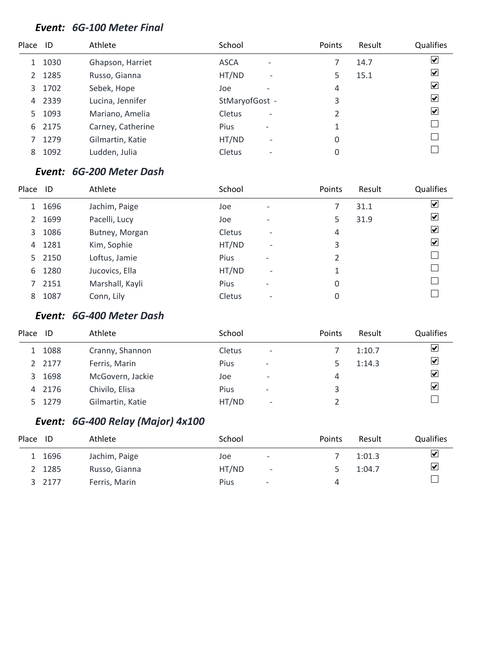#### *Event: 6G-100 Meter Final*

| Place | - ID | Athlete           | School                             | Points | Result | Qualifies               |
|-------|------|-------------------|------------------------------------|--------|--------|-------------------------|
|       | 1030 | Ghapson, Harriet  | <b>ASCA</b><br>۰                   |        | 14.7   | $\blacktriangledown$    |
| 2     | 1285 | Russo, Gianna     | HT/ND<br>$\overline{\phantom{a}}$  | 5      | 15.1   | ⊻                       |
| 3     | 1702 | Sebek, Hope       | Joe<br>$\overline{\phantom{0}}$    | 4      |        | ⊻                       |
| 4     | 2339 | Lucina, Jennifer  | StMaryofGost -                     | 3      |        | $\blacktriangledown$    |
| 5.    | 1093 | Mariano, Amelia   | Cletus<br>$\overline{\phantom{a}}$ | 2      |        | $\vert \checkmark\vert$ |
| 6     | 2175 | Carney, Catherine | Pius<br>$\overline{\phantom{a}}$   | 1      |        |                         |
|       | 1279 | Gilmartin, Katie  | HT/ND<br>$\overline{\phantom{0}}$  | 0      |        |                         |
| 8     | 1092 | Ludden, Julia     | Cletus<br>$\overline{a}$           | 0      |        |                         |

#### *Event: 6G-200 Meter Dash*

| Place | ID     | Athlete         | School |                          | Points | Result | Qualifies               |
|-------|--------|-----------------|--------|--------------------------|--------|--------|-------------------------|
| 1     | 1696   | Jachim, Paige   | Joe    | $\overline{\phantom{0}}$ |        | 31.1   | $\overline{\mathbf{v}}$ |
| 2     | 1699   | Pacelli, Lucy   | Joe    | $\overline{\phantom{0}}$ | 5      | 31.9   | $\overline{\mathbf{v}}$ |
| 3     | 1086   | Butney, Morgan  | Cletus | $\qquad \qquad$          | 4      |        | $\overline{\mathbf{v}}$ |
| 4     | 1281   | Kim, Sophie     | HT/ND  | $\overline{\phantom{a}}$ | 3      |        | $\overline{\mathbf{v}}$ |
|       | 5 2150 | Loftus, Jamie   | Pius   | $\overline{\phantom{a}}$ | 2      |        |                         |
| 6     | 1280   | Jucovics, Ella  | HT/ND  | $\overline{\phantom{a}}$ |        |        |                         |
|       | 2151   | Marshall, Kayli | Pius   | $\overline{\phantom{a}}$ | 0      |        |                         |
| 8     | 1087   | Conn, Lily      | Cletus | $\qquad \qquad$          | 0      |        |                         |

### *Event: 6G-400 Meter Dash*

| Place | ID     | Athlete          | School      |                          | <b>Points</b> | Result | Qualifies               |
|-------|--------|------------------|-------------|--------------------------|---------------|--------|-------------------------|
|       | 1 1088 | Cranny, Shannon  | Cletus      | $\overline{\phantom{a}}$ |               | 1:10.7 | $\blacktriangledown$    |
|       | 2 2177 | Ferris, Marin    | <b>Pius</b> | $\overline{\phantom{a}}$ |               | 1:14.3 | $\blacktriangledown$    |
|       | 3 1698 | McGovern, Jackie | Joe         | $\overline{\phantom{0}}$ | 4             |        | $\blacktriangledown$    |
|       | 4 2176 | Chivilo, Elisa   | <b>Pius</b> | $\overline{\phantom{a}}$ | 3             |        | $\overline{\mathbf{v}}$ |
|       | 5 1279 | Gilmartin, Katie | HT/ND       | $\overline{\phantom{a}}$ |               |        |                         |

### *Event: 6G-400 Relay (Major) 4x100*

| Place | ID     | Athlete       | School      |                          | Points | Result | <b>Qualifies</b>     |
|-------|--------|---------------|-------------|--------------------------|--------|--------|----------------------|
|       | 1 1696 | Jachim, Paige | Joe         | $\overline{\phantom{0}}$ |        | 1:01.3 | $\blacktriangledown$ |
|       | 2 1285 | Russo, Gianna | HT/ND       | $\overline{\phantom{a}}$ |        | 1:04.7 | $\blacktriangledown$ |
|       | 3 2177 | Ferris, Marin | <b>Pius</b> | $\overline{\phantom{a}}$ | 4      |        |                      |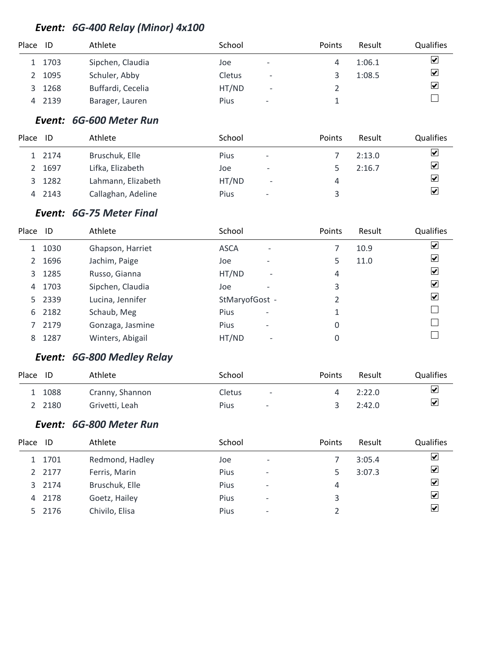### *Event: 6G-400 Relay (Minor) 4x100*

| Place | ID     | Athlete           | School                                  | Points | Result | Qualifies            |
|-------|--------|-------------------|-----------------------------------------|--------|--------|----------------------|
|       | 1 1703 | Sipchen, Claudia  | Joe<br>$\qquad \qquad \blacksquare$     |        | 1:06.1 | $\blacktriangledown$ |
| 2     | 1095   | Schuler, Abby     | Cletus<br>$\qquad \qquad -$             |        | 1:08.5 | $\blacktriangledown$ |
| 3     | 1268   | Buffardi, Cecelia | HT/ND<br>$\overline{\phantom{a}}$       |        |        | $\blacktriangledown$ |
| 4     | 2139   | Barager, Lauren   | <b>Pius</b><br>$\overline{\phantom{a}}$ |        |        |                      |

#### *Event: 6G-600 Meter Run*

| Place | ID     | Athlete            | School |                          | Points | Result | <b>Qualifies</b>        |
|-------|--------|--------------------|--------|--------------------------|--------|--------|-------------------------|
|       | 1 2174 | Bruschuk, Elle     | Pius   | $\overline{\phantom{a}}$ |        | 2:13.0 | $\blacktriangledown$    |
|       | 2 1697 | Lifka, Elizabeth   | Joe    | $\overline{\phantom{a}}$ |        | 2:16.7 | $\overline{\mathbf{v}}$ |
|       | 3 1282 | Lahmann, Elizabeth | HT/ND  | $\overline{\phantom{a}}$ | 4      |        | $\overline{\mathbf{v}}$ |
|       | 4 2143 | Callaghan, Adeline | Pius   | $\overline{\phantom{a}}$ |        |        | $\overline{\mathbf{v}}$ |

### *Event: 6G-75 Meter Final*

| Place | - ID   | Athlete          | School                            | Points | Result | Qualifies               |
|-------|--------|------------------|-----------------------------------|--------|--------|-------------------------|
|       | 1030   | Ghapson, Harriet | <b>ASCA</b><br>۰                  |        | 10.9   | $\overline{\mathbf{v}}$ |
| 2     | 1696   | Jachim, Paige    | Joe<br>$\overline{\phantom{0}}$   | 5      | 11.0   | $\blacktriangledown$    |
| 3     | 1285   | Russo, Gianna    | HT/ND<br>$\overline{\phantom{a}}$ | 4      |        | $\blacktriangledown$    |
| 4     | 1703   | Sipchen, Claudia | Joe                               | 3      |        | $\overline{\mathbf{v}}$ |
|       | 5 2339 | Lucina, Jennifer | StMaryofGost -                    | 2      |        | ☑                       |
| 6     | 2182   | Schaub, Meg      | Pius<br>$\overline{\phantom{a}}$  |        |        |                         |
|       | 2179   | Gonzaga, Jasmine | Pius<br>$\overline{\phantom{a}}$  | 0      |        |                         |
| 8     | 1287   | Winters, Abigail | HT/ND<br>$\overline{\phantom{0}}$ | 0      |        |                         |

### *Event: 6G-800 Medley Relay*

| Place ID |        | Athlete         | School |                          | Points | Result | <b>Qualifies</b>        |
|----------|--------|-----------------|--------|--------------------------|--------|--------|-------------------------|
|          | 1088   | Cranny, Shannon | Cletus | $\overline{\phantom{a}}$ |        | 2:22.0 | $\overline{\mathbf{v}}$ |
|          | 2 2180 | Grivetti, Leah  | Pius   | $\overline{\phantom{0}}$ |        | 2:42.0 | $\overline{\mathbf{v}}$ |

### *Event: 6G-800 Meter Run*

| Place | ID     | Athlete         | School      |                          | Points | Result | <b>Qualifies</b>        |
|-------|--------|-----------------|-------------|--------------------------|--------|--------|-------------------------|
|       | 1 1701 | Redmond, Hadley | Joe         | $\overline{\phantom{a}}$ |        | 3:05.4 | $\vert \checkmark\vert$ |
|       | 2 2177 | Ferris, Marin   | Pius        | $\overline{\phantom{a}}$ |        | 3:07.3 | $\overline{\mathbf{v}}$ |
|       | 3 2174 | Bruschuk, Elle  | <b>Pius</b> | $\overline{\phantom{a}}$ | 4      |        | ☑                       |
|       | 4 2178 | Goetz, Hailey   | Pius        | $\overline{\phantom{a}}$ | 3      |        | ☑                       |
|       | 5 2176 | Chivilo, Elisa  | Pius        | $\overline{\phantom{a}}$ |        |        | ⊻                       |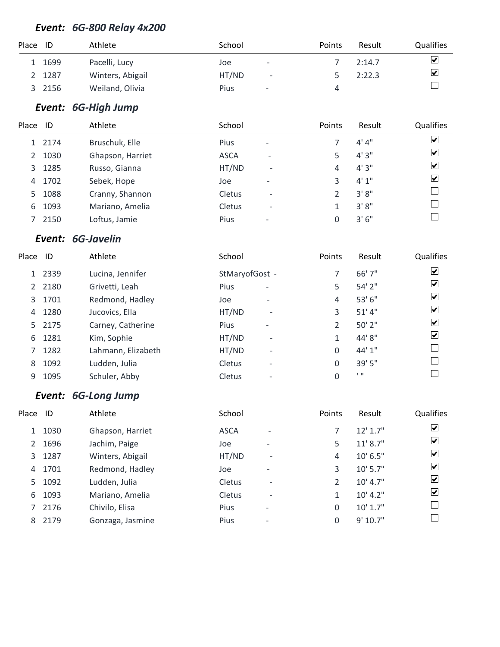### *Event: 6G-800 Relay 4x200*

| Place ID |        | Athlete          | School |                          | Points | Result | <b>Qualifies</b>                |
|----------|--------|------------------|--------|--------------------------|--------|--------|---------------------------------|
|          | 1699   | Pacelli, Lucy    | Joe    | -                        |        | 2:14.7 | $\overline{\blacktriangledown}$ |
|          | 2 1287 | Winters, Abigail | HT/ND  | $\overline{\phantom{a}}$ |        | 2:22.3 | $\overline{\blacktriangledown}$ |
| 3        | 2156   | Weiland, Olivia  | Pius   | $\overline{\phantom{a}}$ |        |        |                                 |

### *Event: 6G-High Jump*

| Place ID |        | Athlete          | School      |                          | Points | Result | Qualifies               |
|----------|--------|------------------|-------------|--------------------------|--------|--------|-------------------------|
|          | 1 2174 | Bruschuk, Elle   | Pius        | -                        |        | 4' 4'' | $\overline{\mathbf{v}}$ |
| 2        | 1030   | Ghapson, Harriet | <b>ASCA</b> | $\overline{\phantom{0}}$ | 5      | 4'3''  | $\overline{\mathbf{v}}$ |
| 3        | 1285   | Russo, Gianna    | HT/ND       | $\overline{\phantom{a}}$ | 4      | 4'3''  | $\overline{\mathbf{v}}$ |
| 4        | 1702   | Sebek, Hope      | Joe         | $\overline{\phantom{a}}$ | 3      | 4'1''  | $\blacktriangledown$    |
| 5.       | 1088   | Cranny, Shannon  | Cletus      | $\overline{\phantom{0}}$ |        | 3'8''  |                         |
| 6        | 1093   | Mariano, Amelia  | Cletus      | $\overline{\phantom{0}}$ |        | 3'8''  |                         |
|          | 2150   | Loftus, Jamie    | Pius        | $\overline{a}$           | 0      | 3'6''  |                         |

### *Event: 6G-Javelin*

| Place ID      |      | Athlete            | School                             | Points | Result         | Qualifies               |
|---------------|------|--------------------|------------------------------------|--------|----------------|-------------------------|
|               | 2339 | Lucina, Jennifer   | StMaryofGost -                     | 7      | 66' 7"         | $\overline{\mathbf{v}}$ |
| $\mathcal{L}$ | 2180 | Grivetti, Leah     | Pius<br>$\overline{\phantom{a}}$   | 5      | $54'$ 2"       | $\blacktriangledown$    |
| 3             | 1701 | Redmond, Hadley    | Joe<br>$\overline{\phantom{0}}$    | 4      | 53' 6"         | $\overline{\mathbf{v}}$ |
| 4             | 1280 | Jucovics, Ella     | HT/ND<br>$\overline{a}$            | 3      | 51' 4"         | $\overline{\mathbf{v}}$ |
| 5.            | 2175 | Carney, Catherine  | Pius<br>$\overline{\phantom{a}}$   | 2      | 50' 2"         | $\overline{\mathbf{v}}$ |
| 6             | 1281 | Kim, Sophie        | HT/ND<br>$\overline{\phantom{a}}$  | 1      | 44'8"          | $\overline{\mathbf{v}}$ |
|               | 1282 | Lahmann, Elizabeth | HT/ND<br>$\overline{\phantom{0}}$  | 0      | 44' 1"         |                         |
| 8             | 1092 | Ludden, Julia      | Cletus<br>$\overline{\phantom{a}}$ | 0      | 39' 5"         |                         |
| 9             | 1095 | Schuler, Abby      | Cletus<br>$\overline{a}$           | 0      | $\blacksquare$ |                         |
|               |      |                    |                                    |        |                |                         |

# *Event: 6G-Long Jump*

| Place | ID   | Athlete          | School      |                          | Points | Result       | Qualifies             |
|-------|------|------------------|-------------|--------------------------|--------|--------------|-----------------------|
| 1     | 1030 | Ghapson, Harriet | <b>ASCA</b> | $\overline{\phantom{a}}$ |        | $12'$ 1.7"   | $\blacktriangleright$ |
| 2     | 1696 | Jachim, Paige    | Joe         | $\overline{\phantom{0}}$ | 5      | 11' 8.7''    | $\blacktriangleright$ |
| 3     | 1287 | Winters, Abigail | HT/ND       | $\overline{\phantom{a}}$ | 4      | $10'$ 6.5"   | $\blacktriangleright$ |
| 4     | 1701 | Redmond, Hadley  | Joe         | $\overline{\phantom{0}}$ | 3      | $10'$ 5.7"   | ☑                     |
| 5.    | 1092 | Ludden, Julia    | Cletus      | $\overline{\phantom{a}}$ | 2      | 10' 4.7''    | ☑                     |
| 6     | 1093 | Mariano, Amelia  | Cletus      | $\overline{\phantom{a}}$ |        | 10' 4.2"     | ⊻                     |
|       | 2176 | Chivilo, Elisa   | Pius        | $\overline{\phantom{a}}$ | 0      | $10'$ $1.7"$ |                       |
| 8     | 2179 | Gonzaga, Jasmine | Pius        | $\overline{\phantom{a}}$ | 0      | 9' 10.7"     |                       |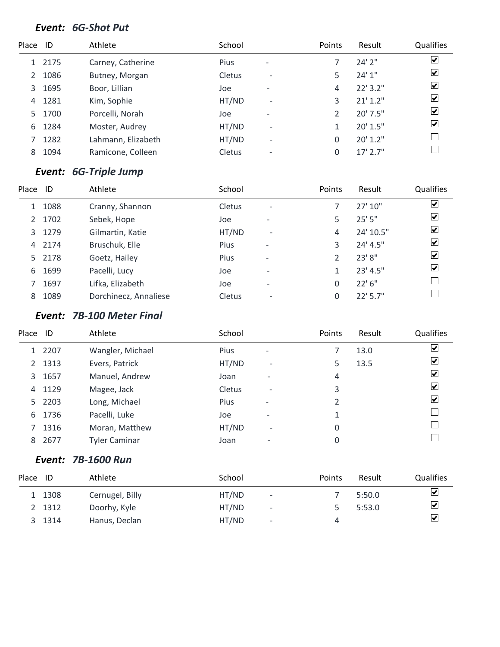### *Event: 6G-Shot Put*

| Place | ID   | Athlete            | School      |                          | Points   | Result     | Qualifies               |
|-------|------|--------------------|-------------|--------------------------|----------|------------|-------------------------|
|       | 2175 | Carney, Catherine  | <b>Pius</b> | $\overline{\phantom{a}}$ |          | 24'2''     | $\overline{\mathbf{v}}$ |
| 2     | 1086 | Butney, Morgan     | Cletus      | $\overline{\phantom{a}}$ | 5        | 24'1"      | $\blacktriangledown$    |
| 3     | 1695 | Boor, Lillian      | Joe         | $\overline{\phantom{a}}$ | 4        | 22' 3.2"   | $\blacktriangledown$    |
| 4     | 1281 | Kim, Sophie        | HT/ND       | $\overline{\phantom{a}}$ | 3        | $21'$ 1.2" | $\overline{\mathbf{v}}$ |
| 5.    | 1700 | Porcelli, Norah    | Joe         | $\overline{\phantom{a}}$ | 2        | $20'$ 7.5" | $\overline{\mathbf{v}}$ |
| 6     | 1284 | Moster, Audrey     | HT/ND       | $\overline{\phantom{0}}$ | 1        | 20' 1.5"   | $\overline{\mathbf{v}}$ |
|       | 1282 | Lahmann, Elizabeth | HT/ND       | $\overline{\phantom{a}}$ | 0        | 20' 1.2"   |                         |
| 8     | 1094 | Ramicone, Colleen  | Cletus      | $\overline{\phantom{0}}$ | $\Omega$ | $17'$ 2.7" |                         |

# *Event: 6G-Triple Jump*

| Place | -ID  | Athlete               | School |                          | Points | Result     | Qualifies               |
|-------|------|-----------------------|--------|--------------------------|--------|------------|-------------------------|
|       | 1088 | Cranny, Shannon       | Cletus | $\overline{\phantom{a}}$ |        | 27'10''    | $\overline{\mathbf{v}}$ |
| 2     | 1702 | Sebek, Hope           | Joe    | $\overline{\phantom{0}}$ | 5      | 25'5''     | $\overline{\mathbf{v}}$ |
| 3     | 1279 | Gilmartin, Katie      | HT/ND  | $\overline{\phantom{a}}$ | 4      | 24' 10.5"  | $\overline{\mathbf{v}}$ |
| 4     | 2174 | Bruschuk, Elle        | Pius   | $\overline{\phantom{a}}$ | 3      | 24' 4.5"   | $\blacktriangledown$    |
| 5.    | 2178 | Goetz, Hailey         | Pius   | $\overline{\phantom{a}}$ |        | 23'8"      | $\blacktriangledown$    |
| 6     | 1699 | Pacelli, Lucy         | Joe    | $\overline{\phantom{0}}$ |        | 23' 4.5''  | $\blacktriangledown$    |
|       | 1697 | Lifka, Elizabeth      | Joe    | $\overline{\phantom{0}}$ | 0      | 22' 6''    |                         |
| 8     | 1089 | Dorchinecz, Annaliese | Cletus | $\qquad \qquad$          | 0      | $22'$ 5.7" |                         |

### *Event: 7B-100 Meter Final*

| Place | ID     | Athlete              | School      |                          | Points | Result | Qualifies                              |
|-------|--------|----------------------|-------------|--------------------------|--------|--------|----------------------------------------|
|       | 1 2207 | Wangler, Michael     | <b>Pius</b> | $\overline{\phantom{a}}$ |        | 13.0   | $\blacktriangledown$                   |
|       | 2 1313 | Evers, Patrick       | HT/ND       | $\overline{\phantom{a}}$ | 5      | 13.5   | $\blacktriangledown$                   |
| 3     | 1657   | Manuel, Andrew       | Joan        | $\overline{\phantom{0}}$ | 4      |        | $\left \boldsymbol{\mathsf{v}}\right $ |
| 4     | 1129   | Magee, Jack          | Cletus      | $\overline{\phantom{a}}$ | 3      |        | $\vert \checkmark\vert$                |
|       | 5 2203 | Long, Michael        | <b>Pius</b> | $\overline{\phantom{a}}$ | 2      |        | $\vert \checkmark\vert$                |
| 6     | 1736   | Pacelli, Luke        | Joe         | $\qquad \qquad$          | 1      |        |                                        |
|       | 1316   | Moran, Matthew       | HT/ND       | $\overline{\phantom{a}}$ | 0      |        |                                        |
| 8     | 2677   | <b>Tyler Caminar</b> | Joan        | -                        | 0      |        |                                        |

### *Event: 7B-1600 Run*

| Place | ID     | Athlete         | School                            | Points | Result | <b>Qualifies</b>     |
|-------|--------|-----------------|-----------------------------------|--------|--------|----------------------|
|       | 1308   | Cernugel, Billy | HT/ND<br>$\overline{\phantom{a}}$ |        | 5:50.0 | ☑                    |
|       | 2 1312 | Doorhy, Kyle    | HT/ND<br>$\overline{\phantom{a}}$ |        | 5:53.0 | ⊻                    |
|       | 1314   | Hanus, Declan   | HT/ND<br>$\overline{\phantom{a}}$ |        |        | $\blacktriangledown$ |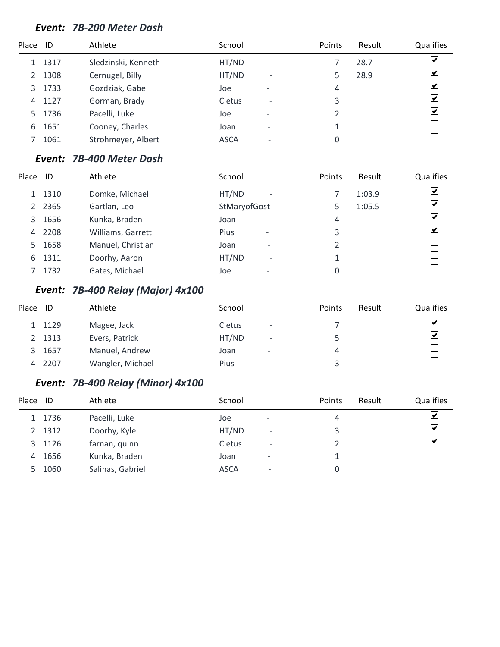#### *Event: 7B-200 Meter Dash*

| Place | - ID | Athlete             | School      |                          | Points | Result | Qualifies                       |
|-------|------|---------------------|-------------|--------------------------|--------|--------|---------------------------------|
|       | 1317 | Sledzinski, Kenneth | HT/ND       | $\overline{\phantom{a}}$ |        | 28.7   | $\overline{\blacktriangledown}$ |
| 2     | 1308 | Cernugel, Billy     | HT/ND       | $\overline{\phantom{a}}$ |        | 28.9   | $\overline{\mathbf{v}}$         |
| 3     | 1733 | Gozdziak, Gabe      | Joe         | $\overline{\phantom{0}}$ | 4      |        | $\overline{\mathbf{v}}$         |
| 4     | 1127 | Gorman, Brady       | Cletus      | $\qquad \qquad$          | 3      |        | $\overline{\mathbf{v}}$         |
| 5.    | 1736 | Pacelli, Luke       | Joe         | $\overline{\phantom{0}}$ |        |        | $\overline{\mathbf{v}}$         |
| 6     | 1651 | Cooney, Charles     | Joan        |                          |        |        |                                 |
|       | 1061 | Strohmeyer, Albert  | <b>ASCA</b> |                          | 0      |        |                                 |

#### *Event: 7B-400 Meter Dash*

| Place         | -ID    | Athlete           | School                                  | Points         | Result | Qualifies               |
|---------------|--------|-------------------|-----------------------------------------|----------------|--------|-------------------------|
|               | 1 1310 | Domke, Michael    | HT/ND<br>$\overline{\phantom{a}}$       |                | 1:03.9 | ☑                       |
| $\mathcal{L}$ | 2365   | Gartlan, Leo      | StMaryofGost -                          | 5              | 1:05.5 | $\overline{\mathbf{v}}$ |
| 3             | 1656   | Kunka, Braden     | Joan<br>$\qquad \qquad \blacksquare$    | 4              |        | $\overline{\mathbf{v}}$ |
| 4             | 2208   | Williams, Garrett | <b>Pius</b><br>$\overline{\phantom{0}}$ | 3              |        | ☑                       |
| 5.            | 1658   | Manuel, Christian | Joan<br>$\overline{\phantom{0}}$        | $\mathfrak{D}$ |        |                         |
| 6             | 1311   | Doorhy, Aaron     | HT/ND<br>$\overline{\phantom{a}}$       |                |        |                         |
|               | 1732   | Gates, Michael    | Joe<br>-                                | 0              |        |                         |
|               |        |                   |                                         |                |        |                         |

### *Event: 7B-400 Relay (Major) 4x100*

| Place | ID     | Athlete          | School |                          | <b>Points</b> | Result | <b>Qualifies</b>        |
|-------|--------|------------------|--------|--------------------------|---------------|--------|-------------------------|
|       | 1129   | Magee, Jack      | Cletus | $\qquad \qquad$          |               |        | $\blacktriangledown$    |
|       | 2 1313 | Evers, Patrick   | HT/ND  | $\overline{\phantom{a}}$ |               |        | $\overline{\mathbf{v}}$ |
| 3     | 1657   | Manuel, Andrew   | Joan   | $\overline{\phantom{0}}$ | 4             |        |                         |
| 4     | 2207   | Wangler, Michael | Pius   | $\,$                     |               |        |                         |

### *Event: 7B-400 Relay (Minor) 4x100*

| Place | ID     | Athlete          | School        |                          | Points | Result | Qualifies               |
|-------|--------|------------------|---------------|--------------------------|--------|--------|-------------------------|
|       | 1 1736 | Pacelli, Luke    | Joe           | $\overline{\phantom{a}}$ | 4      |        | ⊻                       |
|       | 2 1312 | Doorhy, Kyle     | HT/ND         | $\overline{\phantom{a}}$ |        |        | ⊻                       |
| 3     | 1126   | farnan, quinn    | <b>Cletus</b> | $\overline{\phantom{0}}$ |        |        | $\overline{\mathbf{v}}$ |
| 4     | 1656   | Kunka, Braden    | Joan          | -                        |        |        |                         |
| 5     | 1060   | Salinas, Gabriel | <b>ASCA</b>   | $\overline{\phantom{0}}$ | 0      |        |                         |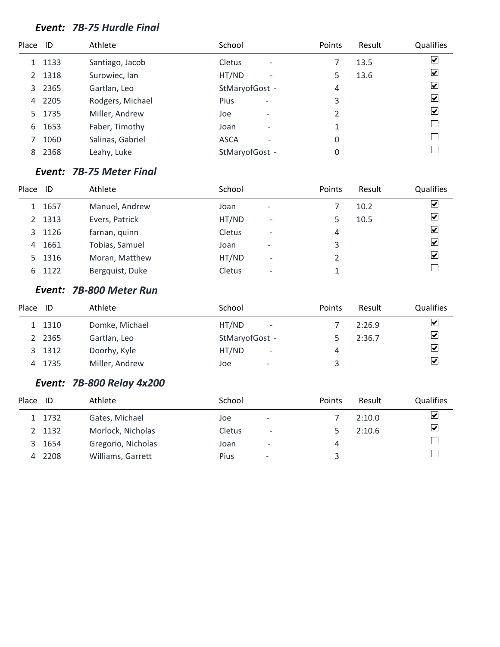### *Event: 7B-75 Hurdle Final*

| Place ID |      | Athlete          | School                                        | Points        | Result | Qualifies               |
|----------|------|------------------|-----------------------------------------------|---------------|--------|-------------------------|
| 1        | 1133 | Santiago, Jacob  | <b>Cletus</b><br>$\qquad \qquad \blacksquare$ |               | 13.5   | $\blacktriangledown$    |
| 2        | 1318 | Surowiec, Ian    | HT/ND<br>$\overline{\phantom{a}}$             | 5             | 13.6   | ⊻                       |
| 3        | 2365 | Gartlan, Leo     | StMaryofGost -                                | 4             |        | $\blacktriangledown$    |
| 4        | 2205 | Rodgers, Michael | Pius<br>$\overline{\phantom{a}}$              | 3             |        | $\blacktriangledown$    |
| 5.       | 1735 | Miller, Andrew   | Joe<br>$\overline{\phantom{a}}$               | $\mathcal{P}$ |        | $\vert \checkmark\vert$ |
| 6        | 1653 | Faber, Timothy   | Joan<br>$\overline{\phantom{0}}$              |               |        |                         |
|          | 1060 | Salinas, Gabriel | <b>ASCA</b><br>۰                              | 0             |        |                         |
| 8        | 2368 | Leahy, Luke      | StMaryofGost -                                | 0             |        |                         |

#### *Event: 7B-75 Meter Final*

| Place | ID     | Athlete         | School        |                          | Points | Result | Qualifies                       |
|-------|--------|-----------------|---------------|--------------------------|--------|--------|---------------------------------|
|       | 1 1657 | Manuel, Andrew  | Joan          | $\overline{\phantom{a}}$ |        | 10.2   | $\overline{\mathbf{v}}$         |
|       | 2 1313 | Evers, Patrick  | HT/ND         | $\overline{\phantom{a}}$ |        | 10.5   | $\overline{\mathbf{v}}$         |
|       | 3 1126 | farnan, quinn   | Cletus        | $\overline{\phantom{a}}$ | 4      |        | $\overline{\blacktriangledown}$ |
| 4     | 1661   | Tobias, Samuel  | Joan          | $\overline{\phantom{0}}$ | 3      |        | $\overline{\mathbf{v}}$         |
|       | 5 1316 | Moran, Matthew  | HT/ND         | $\overline{\phantom{0}}$ |        |        | $\overline{\mathbf{v}}$         |
|       | 6 1122 | Bergquist, Duke | <b>Cletus</b> | $\overline{\phantom{a}}$ |        |        |                                 |

#### *Event: 7B-800 Meter Run*

| Place | ID     | Athlete        | School                            | Points | Result | <b>Qualifies</b>                   |
|-------|--------|----------------|-----------------------------------|--------|--------|------------------------------------|
|       | 1 1310 | Domke, Michael | HT/ND<br>$\overline{\phantom{a}}$ |        | 2:26.9 | ☑                                  |
|       | 2 2365 | Gartlan, Leo   | StMaryofGost -                    |        | 2:36.7 | $\boxed{\blacktriangledown}$       |
|       | 3 1312 | Doorhy, Kyle   | HT/ND<br>$\overline{\phantom{a}}$ | 4      |        | $\blacktriangledown$               |
|       | 4 1735 | Miller, Andrew | Joe<br>$\overline{\phantom{0}}$   |        |        | $\overline{\smash{\triangledown}}$ |

#### *Event: 7B-800 Relay 4x200*

| Place | ID     | Athlete            | School        |                              | <b>Points</b> | Result | <b>Qualifies</b>     |
|-------|--------|--------------------|---------------|------------------------------|---------------|--------|----------------------|
|       | 1 1732 | Gates, Michael     | Joe           | $\overline{\phantom{a}}$     |               | 2:10.0 | ⊻                    |
|       | 2 1132 | Morlock, Nicholas  | <b>Cletus</b> | $\qquad \qquad \blacksquare$ |               | 2:10.6 | $\blacktriangledown$ |
| 3     | 1654   | Gregorio, Nicholas | Joan          | $\overline{\phantom{0}}$     | 4             |        |                      |
| 4     | 2208   | Williams, Garrett  | Pius          | $\overline{\phantom{a}}$     |               |        |                      |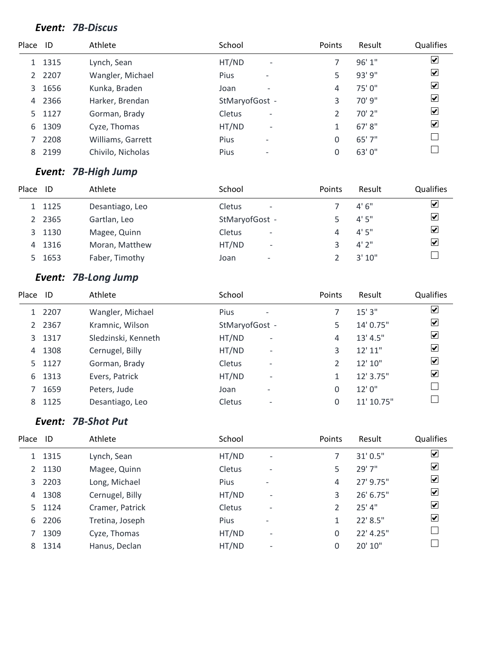#### *Event: 7B-Discus*

| Place ID |      | Athlete           | School                                  | <b>Points</b>  | Result  | Qualifies               |
|----------|------|-------------------|-----------------------------------------|----------------|---------|-------------------------|
|          | 1315 | Lynch, Sean       | HT/ND<br>$\overline{\phantom{a}}$       |                | 96'1"   | $\overline{\mathbf{v}}$ |
| 2        | 2207 | Wangler, Michael  | <b>Pius</b><br>$\overline{\phantom{a}}$ | 5              | 93' 9"  | $\overline{\mathbf{v}}$ |
| 3        | 1656 | Kunka, Braden     | Joan<br>$\overline{\phantom{0}}$        | 4              | 75'0"   | $\overline{\mathbf{v}}$ |
| 4        | 2366 | Harker, Brendan   | StMaryofGost -                          | 3              | 70' 9"  | $\overline{\mathbf{v}}$ |
| 5.       | 1127 | Gorman, Brady     | <b>Cletus</b><br>$\qquad \qquad$        | $\mathfrak{D}$ | 70' 2"  | $\overline{\mathbf{v}}$ |
| 6        | 1309 | Cyze, Thomas      | HT/ND<br>$\overline{\phantom{a}}$       | 1              | 67' 8'' | $\overline{\mathbf{v}}$ |
|          | 2208 | Williams, Garrett | <b>Pius</b><br>$\overline{\phantom{a}}$ | 0              | 65' 7"  |                         |
| 8        | 2199 | Chivilo, Nicholas | Pius<br>$\overline{\phantom{a}}$        | 0              | 63'0"   |                         |

### *Event: 7B-High Jump*

| Place | ID     | Athlete         | School                             | Points | Result | Qualifies               |
|-------|--------|-----------------|------------------------------------|--------|--------|-------------------------|
|       | 1125   | Desantiago, Leo | Cletus<br>$\overline{\phantom{a}}$ |        | 4'6''  | $\overline{\mathbf{v}}$ |
|       | 2365   | Gartlan, Leo    | StMaryofGost -                     |        | 4'5''  | $\overline{\mathbf{v}}$ |
|       | 3 1130 | Magee, Quinn    | Cletus<br>$\overline{\phantom{a}}$ | 4      | 4'5''  | $\overline{\mathbf{v}}$ |
| 4     | 1316   | Moran, Matthew  | HT/ND<br>$\overline{\phantom{a}}$  |        | 4'2''  | $\overline{\mathbf{v}}$ |
| 5.    | 1653   | Faber, Timothy  | Joan<br>$\overline{\phantom{a}}$   |        | 3'10'' |                         |

# *Event: 7B-Long Jump*

| Place         | ID     | Athlete             | School                                | Points | Result     | Qualifies               |
|---------------|--------|---------------------|---------------------------------------|--------|------------|-------------------------|
|               | 1 2207 | Wangler, Michael    | Pius                                  |        | 15'3''     | $\overline{\mathbf{v}}$ |
| $\mathcal{L}$ | 2367   | Kramnic, Wilson     | StMaryofGost -                        | 5      | 14' 0.75"  | $\overline{\mathbf{v}}$ |
|               | 3 1317 | Sledzinski, Kenneth | HT/ND<br>$\qquad \qquad \blacksquare$ | 4      | 13' 4.5''  | $\overline{\mathbf{v}}$ |
| 4             | 1308   | Cernugel, Billy     | HT/ND<br>$\overline{\phantom{a}}$     | 3      | 12' 11"    | $\overline{\mathbf{v}}$ |
| 5.            | 1127   | Gorman, Brady       | Cletus<br>$\overline{\phantom{a}}$    |        | 12' 10"    | $\overline{\mathbf{v}}$ |
| 6             | 1313   | Evers, Patrick      | HT/ND<br>$\overline{\phantom{a}}$     | 1      | 12' 3.75"  | $\overline{\mathbf{v}}$ |
|               | 1659   | Peters, Jude        | Joan<br>$\overline{\phantom{0}}$      | 0      | 12'0''     |                         |
| 8             | 1125   | Desantiago, Leo     | Cletus<br>$\overline{\phantom{0}}$    | 0      | 11' 10.75" |                         |

### *Event: 7B-Shot Put*

| Place       | ID     | Athlete         | School                                  | Points        | Result    | Qualifies               |
|-------------|--------|-----------------|-----------------------------------------|---------------|-----------|-------------------------|
|             | 1 1315 | Lynch, Sean     | HT/ND<br>$\overline{\phantom{a}}$       |               | 31'0.5''  | $\overline{\mathbf{v}}$ |
| $2^{\circ}$ | 1130   | Magee, Quinn    | Cletus<br>$\overline{\phantom{0}}$      | 5             | 29' 7"    | $\overline{\mathbf{v}}$ |
| 3           | 2203   | Long, Michael   | <b>Pius</b><br>$\overline{\phantom{0}}$ | 4             | 27' 9.75" | $\overline{\mathbf{v}}$ |
| 4           | 1308   | Cernugel, Billy | HT/ND<br>$\overline{\phantom{a}}$       | 3             | 26' 6.75" | $\overline{\mathbf{v}}$ |
| 5.          | 1124   | Cramer, Patrick | Cletus<br>$\overline{\phantom{0}}$      | $\mathcal{P}$ | $25'$ 4"  | $\overline{\mathbf{v}}$ |
| 6           | 2206   | Tretina, Joseph | Pius<br>$\overline{\phantom{0}}$        |               | 22' 8.5"  | $\overline{\mathbf{v}}$ |
|             | 1309   | Cyze, Thomas    | HT/ND<br>$\overline{a}$                 | $\Omega$      | 22' 4.25" |                         |
| 8           | 1314   | Hanus, Declan   | HT/ND                                   | $\Omega$      | 20' 10"   |                         |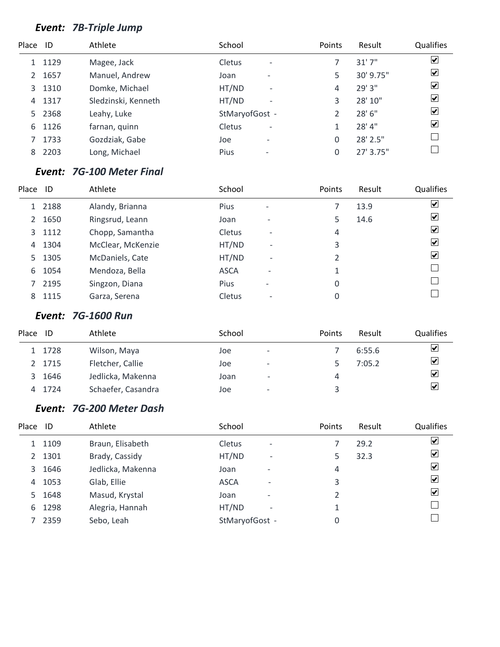# *Event: 7B-Triple Jump*

| Place ID |        | Athlete             | School                             | Points | Result    | Qualifies               |
|----------|--------|---------------------|------------------------------------|--------|-----------|-------------------------|
|          | 1129   | Magee, Jack         | Cletus<br>$\overline{\phantom{a}}$ |        | 31'7''    | $\overline{\mathbf{v}}$ |
| 2        | 1657   | Manuel, Andrew      | Joan<br>$\overline{\phantom{0}}$   | 5      | 30' 9.75" | $\overline{\mathbf{v}}$ |
| 3        | 1310   | Domke, Michael      | HT/ND<br>$\overline{\phantom{a}}$  | 4      | 29' 3"    | $\blacktriangledown$    |
| 4        | 1317   | Sledzinski, Kenneth | HT/ND<br>$\overline{\phantom{a}}$  | 3      | 28' 10"   | $\overline{\mathbf{v}}$ |
|          | 5 2368 | Leahy, Luke         | StMaryofGost -                     |        | 28' 6"    | $\overline{\mathbf{v}}$ |
| 6        | 1126   | farnan, quinn       | Cletus<br>$\overline{\phantom{a}}$ |        | 28'4"     | $\overline{\mathbf{v}}$ |
|          | 1733   | Gozdziak, Gabe      | Joe<br>$\overline{\phantom{a}}$    | 0      | 28' 2.5"  |                         |
| 8        | 2203   | Long, Michael       | Pius<br>$\overline{\phantom{a}}$   | 0      | 27' 3.75" |                         |

### *Event: 7G-100 Meter Final*

| Place | ID     | Athlete           | School        |                          | Points | Result | <b>Qualifies</b>        |
|-------|--------|-------------------|---------------|--------------------------|--------|--------|-------------------------|
|       | 1 2188 | Alandy, Brianna   | <b>Pius</b>   | $\qquad \qquad$          |        | 13.9   | $\overline{\mathbf{v}}$ |
| 2     | 1650   | Ringsrud, Leann   | Joan          | $\overline{\phantom{0}}$ | 5      | 14.6   | $\overline{\mathbf{v}}$ |
| 3     | 1112   | Chopp, Samantha   | <b>Cletus</b> | $\overline{\phantom{0}}$ | 4      |        | $\overline{\mathbf{v}}$ |
| 4     | 1304   | McClear, McKenzie | HT/ND         | $\overline{\phantom{a}}$ | 3      |        | $\overline{\mathbf{v}}$ |
| 5.    | 1305   | McDaniels, Cate   | HT/ND         | $\overline{\phantom{a}}$ | 2      |        | $\overline{\mathbf{v}}$ |
| 6     | 1054   | Mendoza, Bella    | <b>ASCA</b>   | $\overline{\phantom{0}}$ | 1      |        |                         |
| 7     | 2195   | Singzon, Diana    | <b>Pius</b>   | $\qquad \qquad$          | 0      |        |                         |
| 8     | 1115   | Garza, Serena     | Cletus        | $\qquad \qquad$          | 0      |        |                         |

### *Event: 7G-1600 Run*

| Place | ID     | Athlete            | School |                          | <b>Points</b> | Result | Qualifies               |
|-------|--------|--------------------|--------|--------------------------|---------------|--------|-------------------------|
|       | 1 1728 | Wilson, Maya       | Joe    | $\overline{\phantom{a}}$ |               | 6:55.6 | ⊻                       |
|       | 2 1715 | Fletcher, Callie   | Joe    | $\overline{\phantom{a}}$ |               | 7:05.2 | $\overline{\mathbf{v}}$ |
| 3     | 1646   | Jedlicka, Makenna  | Joan   | $\overline{\phantom{a}}$ | 4             |        | ⊻                       |
|       | 4 1724 | Schaefer, Casandra | Joe    | $\qquad \qquad$          |               |        | ⊻                       |

### *Event: 7G-200 Meter Dash*

| Place ID       |      | Athlete           | School                                    | Points | Result | Qualifies               |
|----------------|------|-------------------|-------------------------------------------|--------|--------|-------------------------|
|                | 1109 | Braun, Elisabeth  | <b>Cletus</b><br>$\overline{\phantom{a}}$ |        | 29.2   | $\vert \checkmark\vert$ |
| $\overline{2}$ | 1301 | Brady, Cassidy    | HT/ND<br>$\overline{\phantom{a}}$         | 5      | 32.3   | $ \boldsymbol{v} $      |
| 3              | 1646 | Jedlicka, Makenna | Joan<br>$\overline{\phantom{0}}$          | 4      |        | $ \boldsymbol{v} $      |
| 4              | 1053 | Glab, Ellie       | <b>ASCA</b><br>$\overline{\phantom{0}}$   | 3      |        | $\vert \checkmark\vert$ |
| 5.             | 1648 | Masud, Krystal    | Joan<br>$\overline{\phantom{0}}$          |        |        | $\vert \checkmark\vert$ |
| 6              | 1298 | Alegria, Hannah   | HT/ND<br>$\overline{\phantom{a}}$         |        |        |                         |
|                | 2359 | Sebo, Leah        | StMaryofGost -                            | 0      |        |                         |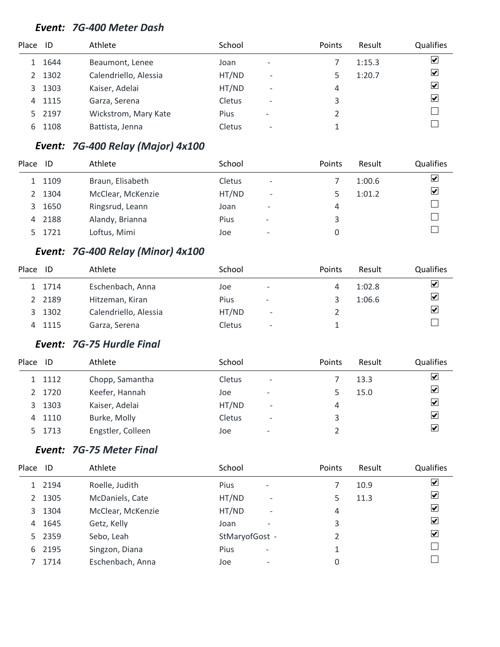#### *Event: 7G-400 Meter Dash*

| Place         | - ID | Athlete               | School |                          | Points | Result | <b>Qualifies</b>        |
|---------------|------|-----------------------|--------|--------------------------|--------|--------|-------------------------|
|               | 1644 | Beaumont, Lenee       | Joan   | $\overline{\phantom{0}}$ |        | 1:15.3 | $\overline{\mathbf{v}}$ |
| $\mathcal{P}$ | 1302 | Calendriello, Alessia | HT/ND  | $\overline{\phantom{a}}$ | 5      | 1:20.7 | $\blacktriangledown$    |
| 3             | 1303 | Kaiser, Adelai        | HT/ND  | $\overline{\phantom{a}}$ | 4      |        | $\overline{\mathbf{v}}$ |
| 4             | 1115 | Garza, Serena         | Cletus | $\overline{\phantom{a}}$ | 3      |        | $\overline{\mathbf{v}}$ |
| 5.            | 2197 | Wickstrom, Mary Kate  | Pius   | $\overline{\phantom{a}}$ |        |        |                         |
| 6             | 1108 | Battista, Jenna       | Cletus | $\overline{\phantom{0}}$ |        |        |                         |

### *Event: 7G-400 Relay (Major) 4x100*

| Place         | ID     | Athlete           | School |                          | Points | Result | Qualifies               |
|---------------|--------|-------------------|--------|--------------------------|--------|--------|-------------------------|
|               | 1 1109 | Braun, Elisabeth  | Cletus | $\overline{\phantom{a}}$ |        | 1:00.6 | ☑                       |
| $\mathcal{P}$ | 1304   | McClear, McKenzie | HT/ND  | $\overline{\phantom{a}}$ |        | 1:01.2 | $\overline{\mathbf{v}}$ |
| 3             | 1650   | Ringsrud, Leann   | Joan   | $\overline{\phantom{0}}$ | 4      |        |                         |
| 4             | 2188   | Alandy, Brianna   | Pius   | $\overline{\phantom{a}}$ | 3      |        |                         |
|               | 1721   | Loftus, Mimi      | Joe    | $\overline{\phantom{0}}$ |        |        |                         |

### *Event: 7G-400 Relay (Minor) 4x100*

| Place | ID     | Athlete               | School |                          | Points | Result | <b>Qualifies</b>                |
|-------|--------|-----------------------|--------|--------------------------|--------|--------|---------------------------------|
|       | 1 1714 | Eschenbach, Anna      | Joe    | -                        | 4      | 1:02.8 | $\overline{\blacktriangledown}$ |
| 2     | 2189   | Hitzeman, Kiran       | Pius   | $\overline{\phantom{a}}$ |        | 1:06.6 | $\overline{\mathbf{v}}$         |
| 3     | 1302   | Calendriello, Alessia | HT/ND  | $\overline{\phantom{a}}$ |        |        | $\overline{\mathbf{v}}$         |
| 4     | 1115   | Garza, Serena         | Cletus | $\overline{\phantom{a}}$ |        |        |                                 |

### *Event: 7G-75 Hurdle Final*

| Place | - ID   | Athlete           | School |                          | Points | Result | Qualifies               |
|-------|--------|-------------------|--------|--------------------------|--------|--------|-------------------------|
|       | 1 1112 | Chopp, Samantha   | Cletus | $\overline{\phantom{a}}$ |        | 13.3   | $\overline{\mathbf{v}}$ |
|       | 1720   | Keefer, Hannah    | Joe    | $\overline{\phantom{a}}$ |        | 15.0   | $\overline{\mathbf{v}}$ |
| 3     | 1303   | Kaiser, Adelai    | HT/ND  | $\overline{\phantom{0}}$ | 4      |        | $\overline{\mathbf{v}}$ |
| 4     | 1110   | Burke, Molly      | Cletus | $\overline{\phantom{a}}$ | 3      |        | $\overline{\mathbf{v}}$ |
| 5.    | 1713   | Engstler, Colleen | Joe    | $\overline{\phantom{a}}$ |        |        | $\blacktriangledown$    |

### *Event: 7G-75 Meter Final*

| Place ID      |        | Athlete           | School                                  | Points | Result | Qualifies               |
|---------------|--------|-------------------|-----------------------------------------|--------|--------|-------------------------|
|               | 2194   | Roelle, Judith    | <b>Pius</b><br>-                        |        | 10.9   | ⊻                       |
| $\mathcal{L}$ | 1305   | McDaniels, Cate   | HT/ND<br>$\overline{\phantom{a}}$       | 5      | 11.3   | ⊻                       |
| 3             | 1304   | McClear, McKenzie | HT/ND<br>$\overline{\phantom{0}}$       | 4      |        | $\overline{\mathbf{v}}$ |
| 4             | 1645   | Getz, Kelly       | Joan<br>$\overline{\phantom{0}}$        | 3      |        | $\blacktriangledown$    |
|               | 5 2359 | Sebo, Leah        | StMaryofGost -                          |        |        | V                       |
| 6             | 2195   | Singzon, Diana    | <b>Pius</b><br>$\overline{\phantom{a}}$ | 1      |        |                         |
|               | 1714   | Eschenbach, Anna  | Joe<br>$\overline{\phantom{a}}$         | 0      |        |                         |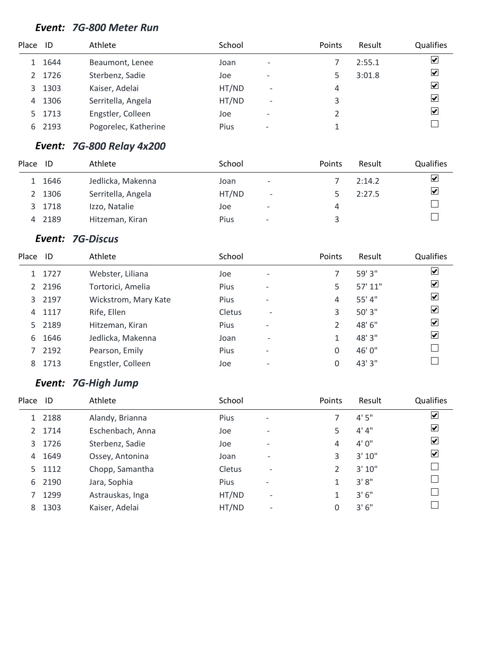#### *Event: 7G-800 Meter Run*

| Place | ID   | Athlete              | School |                          | Points | Result | Qualifies               |
|-------|------|----------------------|--------|--------------------------|--------|--------|-------------------------|
|       | 1644 | Beaumont, Lenee      | Joan   | $\overline{\phantom{0}}$ |        | 2:55.1 | $\overline{\mathbf{v}}$ |
| 2     | 1726 | Sterbenz, Sadie      | Joe    | $\overline{\phantom{0}}$ |        | 3:01.8 | $\blacktriangledown$    |
| 3     | 1303 | Kaiser, Adelai       | HT/ND  | $\overline{a}$           | 4      |        | $\blacktriangledown$    |
| 4     | 1306 | Serritella, Angela   | HT/ND  | $\overline{\phantom{0}}$ | 3      |        | $\overline{\mathbf{v}}$ |
| 5.    | 1713 | Engstler, Colleen    | Joe    | $\overline{\phantom{0}}$ |        |        | ☑                       |
| 6     | 2193 | Pogorelec, Katherine | Pius   | $\overline{\phantom{0}}$ |        |        |                         |

### *Event: 7G-800 Relay 4x200*

| Place         | ID   | Athlete            | School |                          | <b>Points</b> | Result | Qualifies            |
|---------------|------|--------------------|--------|--------------------------|---------------|--------|----------------------|
|               | 1646 | Jedlicka, Makenna  | Joan   | $\overline{\phantom{a}}$ |               | 2:14.2 | $\blacktriangledown$ |
| $\mathcal{L}$ | 1306 | Serritella, Angela | HT/ND  | $\overline{\phantom{a}}$ |               | 2:27.5 | ☑                    |
| 3             | 1718 | Izzo, Natalie      | Joe    | $\overline{\phantom{a}}$ | 4             |        |                      |
| 4             | 2189 | Hitzeman, Kiran    | Pius   | $\overline{\phantom{a}}$ |               |        |                      |

#### *Event: 7G-Discus*

| Place         | - ID   | Athlete              | School      |                          | Points        | Result  | Qualifies                    |
|---------------|--------|----------------------|-------------|--------------------------|---------------|---------|------------------------------|
|               | 1727   | Webster, Liliana     | Joe         | $\overline{\phantom{a}}$ | 7             | 59' 3"  | $\boxed{\blacktriangledown}$ |
| $\mathcal{L}$ | 2196   | Tortorici, Amelia    | <b>Pius</b> | $\overline{\phantom{m}}$ | 5             | 57' 11" | ⊻                            |
|               | 3 2197 | Wickstrom, Mary Kate | Pius        | $\overline{\phantom{a}}$ | 4             | 55' 4"  | $\overline{\mathbf{v}}$      |
| 4             | 1117   | Rife, Ellen          | Cletus      | $\overline{\phantom{0}}$ | 3             | 50'3"   | $\blacktriangledown$         |
| 5.            | 2189   | Hitzeman, Kiran      | <b>Pius</b> | $\overline{\phantom{a}}$ | $\mathfrak z$ | 48'6"   | ⊻                            |
| 6             | 1646   | Jedlicka, Makenna    | Joan        | $\overline{\phantom{0}}$ | 1             | 48'3"   | $ \boldsymbol{v} $           |
|               | 2192   | Pearson, Emily       | Pius        | $\overline{\phantom{a}}$ | 0             | 46'0"   |                              |
| 8             | 1713   | Engstler, Colleen    | Joe         |                          | 0             | 43' 3"  |                              |
|               |        |                      |             |                          |               |         |                              |

### *Event: 7G-High Jump*

| Place | - ID   | Athlete          | School        |                          | Points | Result | Qualifies               |
|-------|--------|------------------|---------------|--------------------------|--------|--------|-------------------------|
|       | 2188   | Alandy, Brianna  | Pius          | $\overline{\phantom{a}}$ |        | 4'5''  | ☑                       |
| 2     | 1714   | Eschenbach, Anna | Joe           | $\overline{\phantom{0}}$ | 5      | 4' 4'' | $\vert \checkmark\vert$ |
| 3     | 1726   | Sterbenz, Sadie  | Joe           | $\overline{\phantom{0}}$ | 4      | 4'0''  | $\blacktriangledown$    |
| 4     | 1649   | Ossey, Antonina  | Joan          | $\overline{\phantom{0}}$ | 3      | 3' 10" | $\vert \checkmark\vert$ |
|       | 5 1112 | Chopp, Samantha  | <b>Cletus</b> | $\overline{\phantom{0}}$ | 2      | 3'10'' |                         |
| 6     | 2190   | Jara, Sophia     | <b>Pius</b>   | $\overline{\phantom{0}}$ | 1      | 3'8''  |                         |
|       | 1299   | Astrauskas, Inga | HT/ND         | $\overline{\phantom{0}}$ | 1      | 3'6''  |                         |
| 8     | 1303   | Kaiser, Adelai   | HT/ND         | $\qquad \qquad$          | 0      | 3'6''  |                         |
|       |        |                  |               |                          |        |        |                         |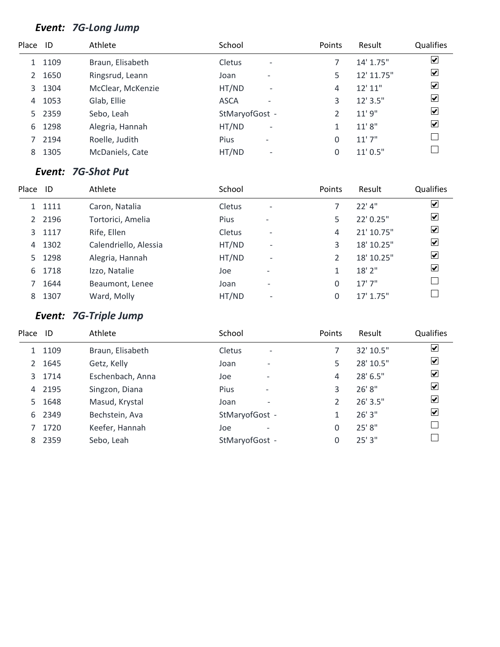# *Event: 7G-Long Jump*

| Place ID |      | Athlete           | School                             | Points | Result     | Qualifies               |
|----------|------|-------------------|------------------------------------|--------|------------|-------------------------|
|          | 1109 | Braun, Elisabeth  | Cletus<br>$\overline{\phantom{a}}$ |        | 14' 1.75"  | $\overline{\mathbf{v}}$ |
| 2        | 1650 | Ringsrud, Leann   | Joan<br>$\overline{\phantom{0}}$   | 5      | 12' 11.75" | $\overline{\mathbf{v}}$ |
| 3        | 1304 | McClear, McKenzie | HT/ND<br>$\overline{\phantom{a}}$  | 4      | 12'11''    | $\blacktriangledown$    |
| 4        | 1053 | Glab, Ellie       | <b>ASCA</b><br>۰                   | 3      | $12'$ 3.5" | $\overline{\mathbf{v}}$ |
| 5.       | 2359 | Sebo, Leah        | StMaryofGost -                     |        | 11'9''     | $\overline{\mathbf{v}}$ |
| 6        | 1298 | Alegria, Hannah   | HT/ND<br>$\overline{\phantom{a}}$  | 1      | 11'8''     | $\overline{\mathbf{v}}$ |
|          | 2194 | Roelle, Judith    | Pius<br>$\overline{\phantom{a}}$   | 0      | 11'7''     |                         |
| 8        | 1305 | McDaniels, Cate   | HT/ND<br>$\overline{\phantom{a}}$  | 0      | 11'0.5''   |                         |

### *Event: 7G-Shot Put*

| Place          | ID     | Athlete               | School        |                          | Points | Result     | <b>Qualifies</b>        |
|----------------|--------|-----------------------|---------------|--------------------------|--------|------------|-------------------------|
|                | 1 1111 | Caron, Natalia        | <b>Cletus</b> | $\overline{\phantom{a}}$ |        | $22'$ 4"   | $\overline{\mathbf{v}}$ |
| $\overline{2}$ | 2196   | Tortorici, Amelia     | Pius          | $\overline{\phantom{a}}$ | 5      | 22' 0.25"  | ☑                       |
| 3              | 1117   | Rife, Ellen           | Cletus        | $\qquad \qquad$          | 4      | 21' 10.75" | ⊻                       |
| 4              | 1302   | Calendriello, Alessia | HT/ND         | $\overline{\phantom{0}}$ | 3      | 18' 10.25" | $\overline{\mathbf{v}}$ |
| 5.             | 1298   | Alegria, Hannah       | HT/ND         | $\overline{\phantom{0}}$ | 2      | 18' 10.25" | ⊻                       |
| 6              | 1718   | Izzo, Natalie         | Joe           | $\overline{\phantom{0}}$ | 1      | $18'$ 2"   | $\overline{\mathbf{v}}$ |
|                | 1644   | Beaumont, Lenee       | Joan          | $\overline{\phantom{a}}$ | 0      | 17'7''     |                         |
| 8              | 1307   | Ward, Molly           | HT/ND         | $\qquad \qquad$          | 0      | 17' 1.75"  |                         |

# *Event: 7G-Triple Jump*

| Place ID       |        | Athlete          | School                                    | Points | Result     | Qualifies               |
|----------------|--------|------------------|-------------------------------------------|--------|------------|-------------------------|
|                | 1 1109 | Braun, Elisabeth | <b>Cletus</b><br>$\overline{\phantom{a}}$ |        | 32' 10.5"  | $\blacktriangledown$    |
| $\overline{2}$ | 1645   | Getz, Kelly      | Joan<br>$\overline{\phantom{0}}$          | 5      | 28' 10.5"  | $\blacktriangledown$    |
|                | 3 1714 | Eschenbach, Anna | Joe<br>$\overline{\phantom{0}}$           | 4      | 28' 6.5"   | $\overline{\mathbf{v}}$ |
| 4              | 2195   | Singzon, Diana   | Pius<br>$\overline{\phantom{a}}$          | 3      | 26'8"      | $\overline{\mathbf{v}}$ |
| 5.             | 1648   | Masud, Krystal   | Joan<br>$\overline{\phantom{0}}$          | 2      | $26'$ 3.5" | $\overline{\mathbf{v}}$ |
| 6              | 2349   | Bechstein, Ava   | StMaryofGost -                            | 1      | 26'3''     | ⊻                       |
|                | 1720   | Keefer, Hannah   | Joe<br>$\qquad \qquad$                    | 0      | 25' 8"     |                         |
| 8              | 2359   | Sebo, Leah       | StMaryofGost -                            | 0      | 25'3''     |                         |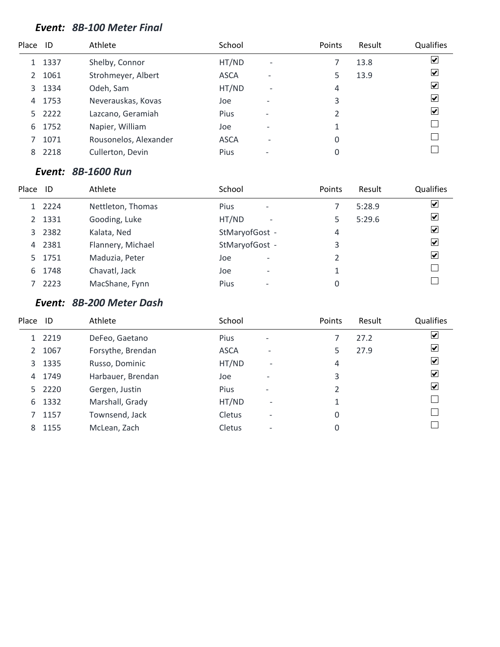#### *Event: 8B-100 Meter Final*

| Place | ID     | Athlete               | School      |                          | Points   | Result | Qualifies               |
|-------|--------|-----------------------|-------------|--------------------------|----------|--------|-------------------------|
|       | 1337   | Shelby, Connor        | HT/ND       | $\overline{\phantom{a}}$ |          | 13.8   | $\overline{\mathbf{v}}$ |
| 2     | 1061   | Strohmeyer, Albert    | <b>ASCA</b> | $\overline{\phantom{0}}$ | 5        | 13.9   | $\blacktriangledown$    |
| 3     | 1334   | Odeh, Sam             | HT/ND       | $\overline{\phantom{a}}$ | 4        |        | $\blacktriangledown$    |
| 4     | 1753   | Neverauskas, Kovas    | Joe         | $\overline{\phantom{0}}$ | 3        |        | $\overline{\mathbf{v}}$ |
|       | 5 2222 | Lazcano, Geramiah     | <b>Pius</b> | $\overline{\phantom{a}}$ |          |        | $\blacktriangledown$    |
| 6     | 1752   | Napier, William       | Joe         | $\overline{\phantom{0}}$ | 1        |        |                         |
|       | 1071   | Rousonelos, Alexander | <b>ASCA</b> | $\overline{\phantom{0}}$ | $\Omega$ |        |                         |
| 8     | 2218   | Cullerton, Devin      | Pius        |                          | 0        |        |                         |
|       |        |                       |             |                          |          |        |                         |

#### *Event: 8B-1600 Run*

| Place | ID     | Athlete           | School                                  | Points | Result | Qualifies               |
|-------|--------|-------------------|-----------------------------------------|--------|--------|-------------------------|
|       | 1 2224 | Nettleton, Thomas | <b>Pius</b><br>$\overline{\phantom{a}}$ |        | 5:28.9 | ☑                       |
|       | 2 1331 | Gooding, Luke     | HT/ND<br>$\overline{\phantom{a}}$       | 5.     | 5:29.6 | $\overline{\mathbf{v}}$ |
|       | 3 2382 | Kalata, Ned       | StMaryofGost -                          | 4      |        | $\overline{\mathbf{v}}$ |
|       | 4 2381 | Flannery, Michael | StMaryofGost -                          | 3      |        | $\blacktriangledown$    |
|       | 5 1751 | Maduzia, Peter    | Joe<br>$\qquad \qquad \blacksquare$     |        |        | $\blacktriangledown$    |
| 6     | 1748   | Chavatl, Jack     | Joe<br>$\overline{\phantom{0}}$         |        |        |                         |
|       | 2223   | MacShane, Fynn    | Pius                                    | 0      |        |                         |

#### *Event: 8B-200 Meter Dash*

| Place | - ID   | Athlete           | School        |                          | Points | Result | Qualifies               |
|-------|--------|-------------------|---------------|--------------------------|--------|--------|-------------------------|
|       | 1 2219 | DeFeo, Gaetano    | Pius          | $\overline{\phantom{a}}$ |        | 27.2   | $\blacktriangleright$   |
| 2     | 1067   | Forsythe, Brendan | <b>ASCA</b>   | $\overline{\phantom{0}}$ | 5      | 27.9   | $\blacktriangledown$    |
| 3     | 1335   | Russo, Dominic    | HT/ND         | $\overline{\phantom{0}}$ | 4      |        | $\vert \checkmark$      |
| 4     | 1749   | Harbauer, Brendan | Joe           | $\qquad \qquad$          | 3      |        | $\vert \checkmark$      |
|       | 5 2220 | Gergen, Justin    | <b>Pius</b>   | $\overline{\phantom{a}}$ | 2      |        | $\vert \checkmark\vert$ |
| 6     | 1332   | Marshall, Grady   | HT/ND         | $\overline{\phantom{0}}$ | 1      |        |                         |
|       | 1157   | Townsend, Jack    | Cletus        |                          | 0      |        |                         |
| 8     | 1155   | McLean, Zach      | <b>Cletus</b> |                          | 0      |        |                         |
|       |        |                   |               |                          |        |        |                         |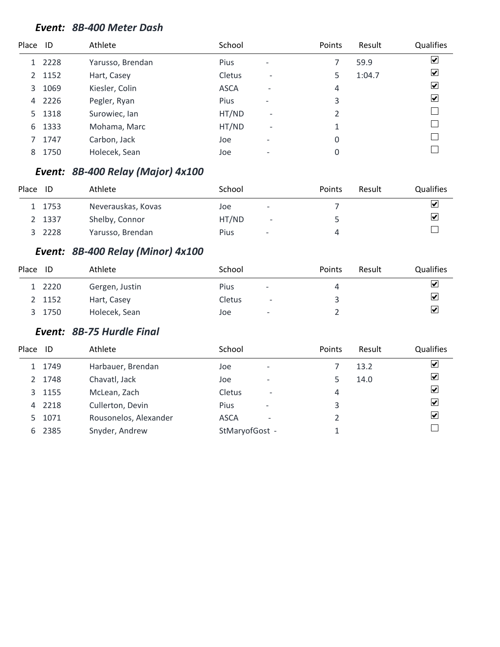#### *Event: 8B-400 Meter Dash*

| Place | - ID | Athlete          | School      |                          | Points | Result | Qualifies               |
|-------|------|------------------|-------------|--------------------------|--------|--------|-------------------------|
| 1     | 2228 | Yarusso, Brendan | <b>Pius</b> | $\qquad \qquad$          |        | 59.9   | $\overline{\mathbf{v}}$ |
| 2     | 1152 | Hart, Casey      | Cletus      | $\overline{\phantom{a}}$ | 5      | 1:04.7 | ⊻                       |
| 3     | 1069 | Kiesler, Colin   | <b>ASCA</b> | $\overline{\phantom{0}}$ | 4      |        | $\blacktriangledown$    |
| 4     | 2226 | Pegler, Ryan     | <b>Pius</b> | $\overline{\phantom{a}}$ | 3      |        | $\blacktriangledown$    |
| 5.    | 1318 | Surowiec, Ian    | HT/ND       | $\overline{\phantom{a}}$ | 2      |        |                         |
| 6     | 1333 | Mohama, Marc     | HT/ND       | $\overline{\phantom{a}}$ | 1      |        |                         |
|       | 1747 | Carbon, Jack     | Joe         | $\qquad \qquad$          | 0      |        |                         |
| 8     | 1750 | Holecek, Sean    | Joe         | -                        | 0      |        |                         |

### *Event: 8B-400 Relay (Major) 4x100*

| Place | ID     | Athlete            | School      |                              | Points | Result | <b>Qualifies</b> |
|-------|--------|--------------------|-------------|------------------------------|--------|--------|------------------|
|       | 1 1753 | Neverauskas, Kovas | Joe         | $\qquad \qquad \blacksquare$ |        |        | ⊻                |
|       | 1337   | Shelby, Connor     | HT/ND       | $\overline{\phantom{a}}$     |        |        | ⊻                |
|       | 2228   | Yarusso, Brendan   | <b>Pius</b> | $\overline{\phantom{a}}$     |        |        |                  |

### *Event: 8B-400 Relay (Minor) 4x100*

| Place | ID     | Athlete        | School      |                          | Points | Result | <b>Qualifies</b>        |
|-------|--------|----------------|-------------|--------------------------|--------|--------|-------------------------|
|       | 1 2220 | Gergen, Justin | <b>Pius</b> | $\overline{\phantom{a}}$ | 4      |        | $\overline{\mathbf{v}}$ |
|       | 2 1152 | Hart, Casey    | Cletus      | $\overline{\phantom{a}}$ |        |        | $\overline{\mathbf{v}}$ |
|       | 1750   | Holecek, Sean  | Joe         | -                        |        |        | ⊻                       |

#### *Event: 8B-75 Hurdle Final*

| Place ID       |        | Athlete               | School                           |                          | Points | Result | Qualifies               |
|----------------|--------|-----------------------|----------------------------------|--------------------------|--------|--------|-------------------------|
|                | 1 1749 | Harbauer, Brendan     | Joe                              | $\overline{\phantom{a}}$ |        | 13.2   | $\overline{\mathbf{v}}$ |
| $\overline{2}$ | 1748   | Chavatl, Jack         | Joe                              | $\overline{\phantom{a}}$ |        | 14.0   | $\overline{\mathbf{v}}$ |
| 3              | 1155   | McLean, Zach          | <b>Cletus</b>                    | $\overline{\phantom{a}}$ | 4      |        | $\overline{\mathbf{v}}$ |
| 4              | 2218   | Cullerton, Devin      | Pius<br>$\overline{\phantom{a}}$ |                          | 3      |        | $\overline{\mathbf{v}}$ |
| 5.             | 1071   | Rousonelos, Alexander | <b>ASCA</b>                      |                          |        |        | $\overline{\mathbf{v}}$ |
| 6              | 2385   | Snyder, Andrew        | StMaryofGost -                   |                          |        |        |                         |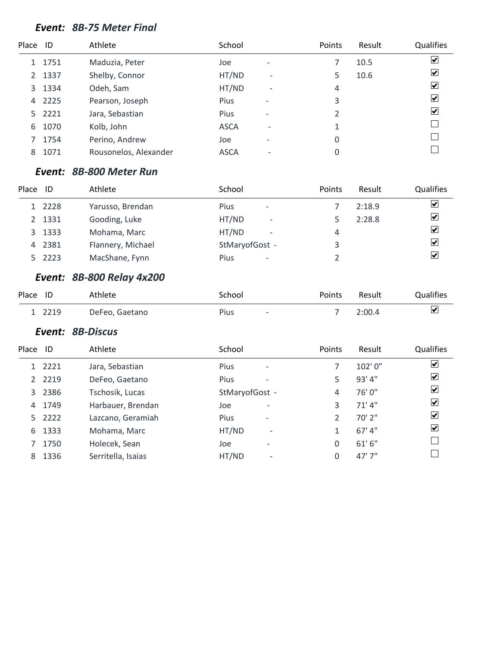#### *Event: 8B-75 Meter Final*

| Place ID |        | Athlete               | School      |                              | Points                   | Result | Qualifies               |
|----------|--------|-----------------------|-------------|------------------------------|--------------------------|--------|-------------------------|
|          | 1751   | Maduzia, Peter        | Joe         | $\overline{\phantom{0}}$     |                          | 10.5   | $\blacktriangledown$    |
| 2        | 1337   | Shelby, Connor        | HT/ND       | $\overline{\phantom{a}}$     | 5                        | 10.6   | $\blacktriangledown$    |
| 3        | 1334   | Odeh, Sam             | HT/ND       | $\overline{a}$               | 4                        |        | $\blacktriangledown$    |
| 4        | 2225   | Pearson, Joseph       | Pius        | $\overline{\phantom{0}}$     | 3                        |        | $\blacktriangledown$    |
|          | 5 2221 | Jara, Sebastian       | Pius        | $\overline{\phantom{0}}$     | $\overline{\mathcal{L}}$ |        | $\vert \checkmark\vert$ |
| 6        | 1070   | Kolb, John            | <b>ASCA</b> | ۰                            |                          |        |                         |
|          | 1754   | Perino, Andrew        | Joe         | $\qquad \qquad \blacksquare$ | 0                        |        |                         |
| 8        | 1071   | Rousonelos, Alexander | <b>ASCA</b> |                              | 0                        |        |                         |
|          |        |                       |             |                              |                          |        |                         |

#### *Event: 8B-800 Meter Run*

| Place | ID     | Athlete           | School                                  | Points | Result | Qualifies               |
|-------|--------|-------------------|-----------------------------------------|--------|--------|-------------------------|
|       | 1 2228 | Yarusso, Brendan  | <b>Pius</b><br>$\overline{\phantom{a}}$ |        | 2:18.9 | $\overline{\mathbf{v}}$ |
|       | 2 1331 | Gooding, Luke     | HT/ND<br>$\overline{\phantom{a}}$       |        | 2:28.8 | $\overline{\mathbf{v}}$ |
| 3     | 1333   | Mohama, Marc      | HT/ND<br>$\overline{\phantom{a}}$       | 4      |        | $\overline{\mathbf{v}}$ |
| 4     | 2381   | Flannery, Michael | StMaryofGost -                          | 3      |        | $\overline{\mathbf{v}}$ |
|       | 5 2223 | MacShane, Fynn    | Pius<br>$\overline{\phantom{a}}$        |        |        | $\overline{\mathbf{v}}$ |

### *Event: 8B-800 Relay 4x200*

| Place ID |        | Athlete        | School                           | Points | Result | Qualifies |
|----------|--------|----------------|----------------------------------|--------|--------|-----------|
|          | 1 2219 | DeFeo, Gaetano | Pius<br>$\overline{\phantom{0}}$ |        | 2:00.4 | ⊻         |

#### *Event: 8B-Discus*

| Place | -ID    | Athlete            | School                                  | Points        | Result  | Qualifies               |
|-------|--------|--------------------|-----------------------------------------|---------------|---------|-------------------------|
|       | 1 2221 | Jara, Sebastian    | <b>Pius</b><br>$\overline{\phantom{a}}$ |               | 102'0"  | $\blacktriangledown$    |
| 2     | 2219   | DeFeo, Gaetano     | Pius<br>$\overline{\phantom{a}}$        | 5             | 93' 4"  | $\overline{\mathbf{v}}$ |
| 3     | 2386   | Tschosik, Lucas    | StMaryofGost -                          | 4             | 76'0"   | $\overline{\mathbf{v}}$ |
| 4     | 1749   | Harbauer, Brendan  | Joe<br>$\overline{\phantom{0}}$         | 3             | 71'4"   | $\overline{\mathbf{v}}$ |
|       | 5 2222 | Lazcano, Geramiah  | Pius<br>$\overline{\phantom{a}}$        | $\mathcal{P}$ | 70' 2"  | $\overline{\mathbf{v}}$ |
| 6     | 1333   | Mohama, Marc       | HT/ND<br>$\overline{\phantom{a}}$       | 1             | 67' 4'' | $\blacktriangledown$    |
|       | 1750   | Holecek, Sean      | Joe<br>$\overline{\phantom{0}}$         | 0             | 61'6''  |                         |
| 8     | 1336   | Serritella, Isaias | HT/ND<br>$\overline{\phantom{0}}$       | 0             | 47'7''  |                         |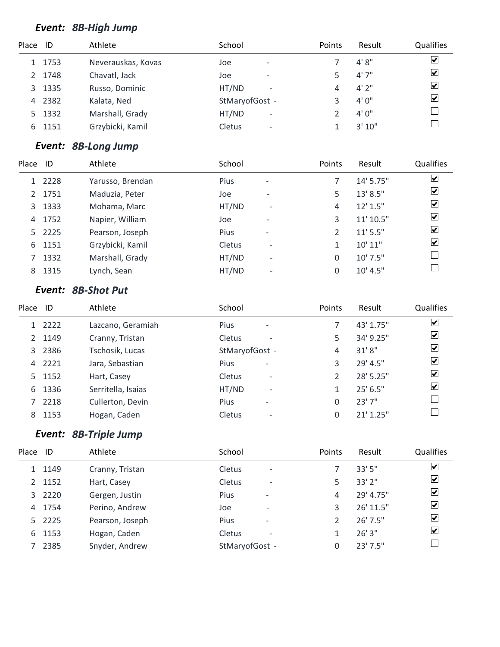### *Event: 8B-High Jump*

| Place | -ID    | Athlete            | School                             | <b>Points</b> | Result | Qualifies               |
|-------|--------|--------------------|------------------------------------|---------------|--------|-------------------------|
|       | 1753   | Neverauskas, Kovas | Joe<br>$\overline{\phantom{0}}$    |               | 4'8''  | ⊻                       |
|       | 1748   | Chavatl, Jack      | Joe<br>$\overline{\phantom{0}}$    |               | 4'7''  | $\overline{\mathbf{v}}$ |
| 3     | 1335   | Russo, Dominic     | HT/ND<br>$\overline{\phantom{a}}$  | 4             | 4'2''  | $\overline{\mathbf{v}}$ |
| 4     | 2382   | Kalata, Ned        | StMaryofGost -                     |               | 4'0''  | $\overline{\mathbf{v}}$ |
|       | 5 1332 | Marshall, Grady    | HT/ND<br>$\overline{\phantom{a}}$  |               | 4'0''  |                         |
| 6     | 1151   | Grzybicki, Kamil   | Cletus<br>$\overline{\phantom{a}}$ |               | 3'10'' |                         |

### *Event: 8B-Long Jump*

| Place | ID     | Athlete          | School |                          | Points   | Result        | Qualifies               |
|-------|--------|------------------|--------|--------------------------|----------|---------------|-------------------------|
|       | 1 2228 | Yarusso, Brendan | Pius   | $\overline{\phantom{a}}$ |          | 14' 5.75"     | $\blacktriangledown$    |
|       | 2 1751 | Maduzia, Peter   | Joe    | $\overline{\phantom{0}}$ | 5        | 13' 8.5"      | $\overline{\mathbf{v}}$ |
|       | 3 1333 | Mohama, Marc     | HT/ND  | $\overline{\phantom{a}}$ | 4        | $12'$ $1.5''$ | $\overline{\mathbf{v}}$ |
|       | 4 1752 | Napier, William  | Joe    | $\overline{\phantom{0}}$ | 3        | 11' 10.5"     | $\overline{\mathbf{v}}$ |
|       | 5 2225 | Pearson, Joseph  | Pius   | $\overline{\phantom{a}}$ |          | $11'$ 5.5"    | $\overline{\mathbf{v}}$ |
|       | 6 1151 | Grzybicki, Kamil | Cletus | $\overline{\phantom{a}}$ |          | 10' 11"       | $\overline{\mathbf{v}}$ |
|       | 1332   | Marshall, Grady  | HT/ND  | $\overline{\phantom{a}}$ | 0        | 10' 7.5"      |                         |
| 8     | 1315   | Lynch, Sean      | HT/ND  | $\overline{\phantom{a}}$ | $\Omega$ | 10' 4.5''     |                         |
|       |        |                  |        |                          |          |               |                         |

### *Event: 8B-Shot Put*

| Place         | ID     | Athlete            | School                                    | Points        | Result      | Qualifies                    |
|---------------|--------|--------------------|-------------------------------------------|---------------|-------------|------------------------------|
|               | 1 2222 | Lazcano, Geramiah  | Pius<br>$\overline{\phantom{a}}$          |               | 43' 1.75"   | $\overline{\mathbf{v}}$      |
| $\mathcal{P}$ | 1149   | Cranny, Tristan    | Cletus<br>$\overline{\phantom{a}}$        | 5             | 34' 9.25"   | $\overline{\mathbf{v}}$      |
| 3             | 2386   | Tschosik, Lucas    | StMaryofGost -                            | 4             | 31'8''      | $\overline{\mathbf{v}}$      |
| 4             | 2221   | Jara, Sebastian    | Pius<br>$\overline{\phantom{a}}$          | 3             | 29' 4.5"    | $\overline{\mathbf{v}}$      |
|               | 5 1152 | Hart, Casey        | <b>Cletus</b><br>$\overline{\phantom{a}}$ | $\mathcal{P}$ | 28' 5.25"   | $\overline{\mathbf{v}}$      |
| 6             | 1336   | Serritella, Isaias | HT/ND<br>$\overline{\phantom{a}}$         |               | $25'$ 6.5"  | $\boxed{\blacktriangledown}$ |
|               | 2218   | Cullerton, Devin   | <b>Pius</b><br>$\overline{\phantom{0}}$   | 0             | 23'7''      |                              |
| 8             | 1153   | Hogan, Caden       | Cletus<br>$\overline{\phantom{a}}$        | 0             | $21'$ 1.25" |                              |

### *Event: 8B-Triple Jump*

| Place | ID     | Athlete         | School                             | Points | Result     | Qualifies                       |
|-------|--------|-----------------|------------------------------------|--------|------------|---------------------------------|
|       | 1 1149 | Cranny, Tristan | Cletus<br>$\overline{\phantom{a}}$ |        | 33' 5"     | $\blacktriangledown$            |
|       | 2 1152 | Hart, Casey     | Cletus<br>$\overline{\phantom{a}}$ | 5      | 33'2"      | $\overline{\blacktriangledown}$ |
|       | 3 2220 | Gergen, Justin  | Pius<br>$\overline{\phantom{a}}$   | 4      | 29' 4.75"  | $\overline{\mathbf{v}}$         |
| 4     | 1754   | Perino, Andrew  | Joe<br>$\overline{\phantom{a}}$    | 3      | 26' 11.5"  | $\overline{\mathbf{v}}$         |
|       | 5 2225 | Pearson, Joseph | Pius<br>$\overline{\phantom{a}}$   |        | $26'$ 7.5" | $\overline{\mathbf{v}}$         |
| 6     | 1153   | Hogan, Caden    | Cletus<br>$\overline{\phantom{0}}$ |        | 26'3''     | $\blacktriangledown$            |
|       | 2385   | Snyder, Andrew  | StMaryofGost -                     | 0      | 23'7.5''   |                                 |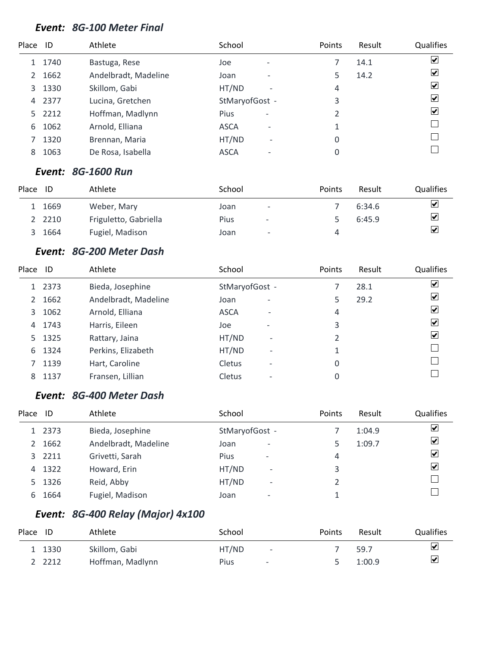#### *Event: 8G-100 Meter Final*

| Place ID |      | Athlete              | School         |                          | Points | Result | Qualifies               |
|----------|------|----------------------|----------------|--------------------------|--------|--------|-------------------------|
|          | 1740 | Bastuga, Rese        | Joe            | $\overline{\phantom{0}}$ |        | 14.1   | $\blacktriangledown$    |
| 2        | 1662 | Andelbradt, Madeline | Joan           | $\overline{\phantom{0}}$ | 5      | 14.2   | ⊻                       |
| 3        | 1330 | Skillom, Gabi        | HT/ND          | $\overline{\phantom{a}}$ | 4      |        | ⊻                       |
| 4        | 2377 | Lucina, Gretchen     | StMaryofGost - |                          | 3      |        | $\vert \checkmark\vert$ |
| 5.       | 2212 | Hoffman, Madlynn     | Pius           | $\overline{\phantom{a}}$ | 2      |        | $\vert \checkmark\vert$ |
| 6        | 1062 | Arnold, Elliana      | <b>ASCA</b>    | ۰                        | 1      |        |                         |
|          | 1320 | Brennan, Maria       | HT/ND          | $\overline{\phantom{a}}$ | 0      |        |                         |
| 8        | 1063 | De Rosa, Isabella    | <b>ASCA</b>    |                          | 0      |        |                         |

#### *Event: 8G-1600 Run*

| Place | ID     | Athlete               | School |                          | <b>Points</b> | Result | <b>Qualifies</b>        |
|-------|--------|-----------------------|--------|--------------------------|---------------|--------|-------------------------|
|       | 1669   | Weber, Mary           | Joan   | $\overline{\phantom{a}}$ |               | 6:34.6 | $\overline{\mathbf{v}}$ |
|       | 2 2210 | Friguletto, Gabriella | Pius   | $\overline{\phantom{0}}$ |               | 6:45.9 | $\overline{\mathbf{v}}$ |
|       | 1664   | Fugiel, Madison       | Joan   | $\overline{\phantom{a}}$ | 4             |        | ⊻                       |

#### *Event: 8G-200 Meter Dash*

| Place | ID     | Athlete              | School                                    | Points         | Result | Qualifies               |
|-------|--------|----------------------|-------------------------------------------|----------------|--------|-------------------------|
|       | 1 2373 | Bieda, Josephine     | StMaryofGost -                            |                | 28.1   | $\overline{\mathbf{v}}$ |
| 2     | 1662   | Andelbradt, Madeline | Joan<br>$\overline{\phantom{0}}$          | 5              | 29.2   | $\overline{\mathbf{v}}$ |
| 3     | 1062   | Arnold, Elliana      | <b>ASCA</b><br>$\overline{\phantom{0}}$   | 4              |        | $\overline{\mathbf{v}}$ |
| 4     | 1743   | Harris, Eileen       | Joe<br>$\overline{\phantom{0}}$           | 3              |        | $\overline{\mathbf{v}}$ |
|       | 5 1325 | Rattary, Jaina       | HT/ND<br>$\overline{\phantom{0}}$         | $\mathfrak{p}$ |        | $\blacktriangledown$    |
| 6.    | 1324   | Perkins, Elizabeth   | HT/ND<br>$\overline{\phantom{a}}$         |                |        |                         |
|       | 1139   | Hart, Caroline       | Cletus<br>$\overline{\phantom{0}}$        | 0              |        |                         |
| 8     | 1137   | Fransen, Lillian     | <b>Cletus</b><br>$\overline{\phantom{0}}$ | 0              |        |                         |

#### *Event: 8G-400 Meter Dash*

| Place | ID     | Athlete              | School                            | Points | Result | Qualifies             |
|-------|--------|----------------------|-----------------------------------|--------|--------|-----------------------|
|       | 1 2373 | Bieda, Josephine     | StMaryofGost -                    |        | 1:04.9 | $ \boldsymbol{v} $    |
|       | 1662   | Andelbradt, Madeline | Joan<br>$\overline{\phantom{0}}$  |        | 1:09.7 | $\blacktriangleright$ |
| 3     | 2211   | Grivetti, Sarah      | Pius<br>$\overline{\phantom{a}}$  | 4      |        | $\blacktriangledown$  |
| 4     | 1322   | Howard, Erin         | HT/ND<br>$\overline{\phantom{0}}$ | 3      |        | $\blacktriangledown$  |
|       | 5 1326 | Reid, Abby           | HT/ND<br>$\qquad \qquad$          |        |        |                       |
| 6     | 1664   | Fugiel, Madison      | Joan<br>$\overline{\phantom{0}}$  |        |        |                       |

# *Event: 8G-400 Relay (Major) 4x100*

| Place ID |        | Athlete          | School |                          | <b>Points</b> | Result | <b>Qualifies</b> |
|----------|--------|------------------|--------|--------------------------|---------------|--------|------------------|
|          | 1 1330 | Skillom, Gabi    | HT/ND  | $\sim$                   |               | 59.7   | ⊻                |
|          | 2 2212 | Hoffman, Madlynn | Pius   | $\overline{\phantom{a}}$ |               | 1:00.9 | ⊻                |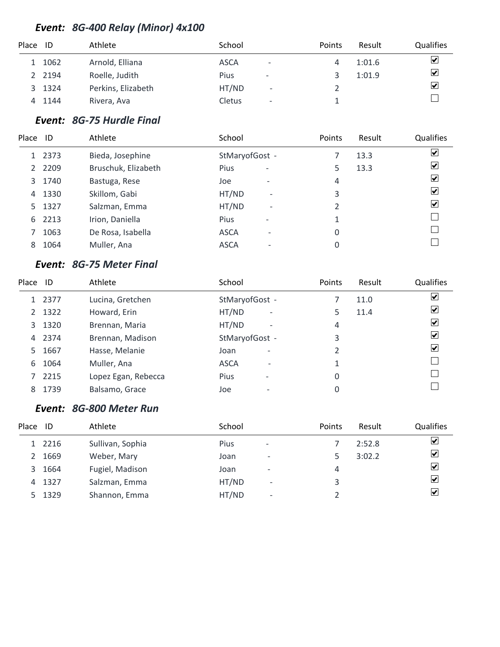### *Event: 8G-400 Relay (Minor) 4x100*

| Place | ID     | Athlete            | School                                  | <b>Points</b> | Result | <b>Qualifies</b>     |
|-------|--------|--------------------|-----------------------------------------|---------------|--------|----------------------|
|       | 1062   | Arnold, Elliana    | <b>ASCA</b><br>$\overline{\phantom{a}}$ |               | 1:01.6 | ⊻                    |
|       | 2 2194 | Roelle, Judith     | Pius<br>$\overline{\phantom{a}}$        |               | 1:01.9 | $\blacktriangledown$ |
| 3     | 1324   | Perkins, Elizabeth | HT/ND<br>$\overline{\phantom{a}}$       |               |        | $\blacktriangledown$ |
| 4     | 1144   | Rivera, Ava        | Cletus<br>$\overline{\phantom{a}}$      |               |        |                      |

### *Event: 8G-75 Hurdle Final*

| Place          | ID     | Athlete             | School                                  | Points | Result | Qualifies                              |
|----------------|--------|---------------------|-----------------------------------------|--------|--------|----------------------------------------|
|                | 1 2373 | Bieda, Josephine    | StMaryofGost -                          |        | 13.3   | ⊻                                      |
| $\overline{2}$ | 2209   | Bruschuk, Elizabeth | <b>Pius</b><br>$\overline{\phantom{a}}$ | 5      | 13.3   | $\left \boldsymbol{\mathsf{v}}\right $ |
| 3              | 1740   | Bastuga, Rese       | Joe<br>$\overline{\phantom{a}}$         | 4      |        | $\blacktriangledown$                   |
| 4              | 1330   | Skillom, Gabi       | HT/ND<br>$\overline{\phantom{0}}$       | 3      |        | $\vert \checkmark\vert$                |
|                | 5 1327 | Salzman, Emma       | HT/ND<br>$\overline{\phantom{0}}$       | 2      |        | $\vert \checkmark\vert$                |
| 6              | 2213   | Irion, Daniella     | <b>Pius</b><br>$\overline{\phantom{a}}$ | 1      |        |                                        |
|                | 1063   | De Rosa, Isabella   | <b>ASCA</b><br>$\overline{\phantom{0}}$ | 0      |        |                                        |
| 8              | 1064   | Muller, Ana         | <b>ASCA</b>                             | 0      |        |                                        |

### *Event: 8G-75 Meter Final*

| Place | ID     | Athlete             | School                                  | Points         | Result | Qualifies               |
|-------|--------|---------------------|-----------------------------------------|----------------|--------|-------------------------|
|       | 1 2377 | Lucina, Gretchen    | StMaryofGost -                          |                | 11.0   | $\overline{\mathbf{v}}$ |
|       | 2 1322 | Howard, Erin        | HT/ND<br>$\overline{\phantom{a}}$       | 5              | 11.4   | $\overline{\mathbf{v}}$ |
|       | 3 1320 | Brennan, Maria      | HT/ND<br>$\overline{\phantom{a}}$       | 4              |        | ☑                       |
| 4     | 2374   | Brennan, Madison    | StMaryofGost -                          | 3              |        | $\overline{\mathbf{v}}$ |
| 5.    | 1667   | Hasse, Melanie      | Joan                                    | $\mathfrak{D}$ |        | $\overline{\mathbf{v}}$ |
| 6     | 1064   | Muller, Ana         | <b>ASCA</b>                             | 1              |        |                         |
|       | 2215   | Lopez Egan, Rebecca | <b>Pius</b><br>$\overline{\phantom{0}}$ | 0              |        |                         |
| 8     | 1739   | Balsamo, Grace      | Joe                                     | 0              |        |                         |
|       |        |                     |                                         |                |        |                         |

### *Event: 8G-800 Meter Run*

| Place ID |        | Athlete          | School |                          | Points | Result | <b>Qualifies</b>            |
|----------|--------|------------------|--------|--------------------------|--------|--------|-----------------------------|
|          | 1 2216 | Sullivan, Sophia | Pius   | $\overline{\phantom{a}}$ |        | 2:52.8 | ⊻                           |
|          | 1669   | Weber, Mary      | Joan   | $\overline{\phantom{a}}$ |        | 3:02.2 | $\blacktriangledown$        |
| 3        | 1664   | Fugiel, Madison  | Joan   | $\overline{\phantom{a}}$ | 4      |        | $\blacktriangledown$        |
| 4        | 1327   | Salzman, Emma    | HT/ND  | $\overline{\phantom{a}}$ | 3      |        | $\left  \mathbf{v} \right $ |
| 5.       | 1329   | Shannon, Emma    | HT/ND  | $\overline{\phantom{a}}$ |        |        | ⊻                           |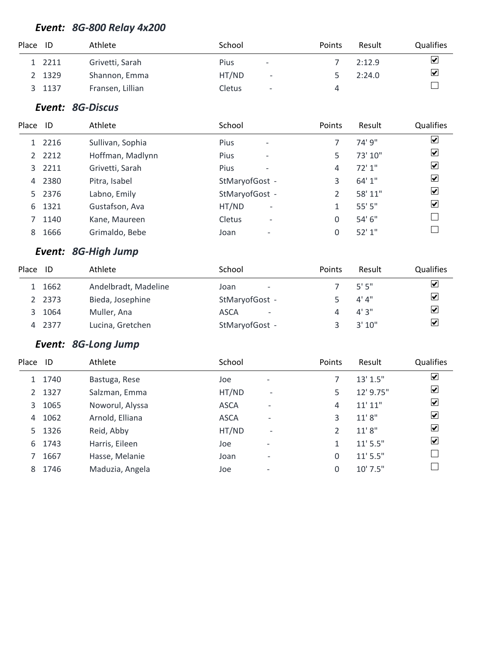### *Event: 8G-800 Relay 4x200*

| Place ID |        | Athlete          | School      |                          | Points | Result | <b>Qualifies</b>        |
|----------|--------|------------------|-------------|--------------------------|--------|--------|-------------------------|
|          | 1 2211 | Grivetti, Sarah  | <b>Pius</b> | $\overline{\phantom{a}}$ |        | 2:12.9 | $\overline{\mathbf{v}}$ |
|          | 2 1329 | Shannon, Emma    | HT/ND       | $\overline{\phantom{a}}$ |        | 2:24.0 | $\blacktriangledown$    |
|          | 1137   | Fransen, Lillian | Cletus      | $\overline{\phantom{a}}$ | 4      |        |                         |

#### *Event: 8G-Discus*

| Place ID |        | Athlete          | School                                    | Points | Result  | Qualifies                       |
|----------|--------|------------------|-------------------------------------------|--------|---------|---------------------------------|
|          | 2216   | Sullivan, Sophia | <b>Pius</b><br>$\overline{\phantom{a}}$   |        | 74' 9"  | $\overline{\mathbf{v}}$         |
|          | 2 2212 | Hoffman, Madlynn | <b>Pius</b><br>$\overline{\phantom{a}}$   | 5      | 73' 10" | $\blacktriangledown$            |
|          | 3 2211 | Grivetti, Sarah  | <b>Pius</b><br>$\overline{\phantom{a}}$   | 4      | 72'1''  | $\blacktriangleright$           |
| 4        | 2380   | Pitra, Isabel    | StMaryofGost -                            | 3      | 64' 1"  | $\overline{\blacktriangledown}$ |
|          | 5 2376 | Labno, Emily     | StMaryofGost -                            | 2      | 58' 11" | $\blacktriangledown$            |
| 6        | 1321   | Gustafson, Ava   | HT/ND<br>$\overline{\phantom{a}}$         | 1      | 55'5''  | $\blacktriangledown$            |
|          | 1140   | Kane, Maureen    | <b>Cletus</b><br>$\overline{\phantom{a}}$ | 0      | 54'6''  |                                 |
| 8        | 1666   | Grimaldo, Bebe   | Joan<br>$\overline{\phantom{0}}$          | 0      | 52'1''  |                                 |

### *Event: 8G-High Jump*

| Place | ID     | Athlete              | School                                  | <b>Points</b> | Result | <b>Qualifies</b>        |
|-------|--------|----------------------|-----------------------------------------|---------------|--------|-------------------------|
|       | 1 1662 | Andelbradt, Madeline | Joan<br>$\overline{\phantom{a}}$        |               | 5'5''  | $\overline{\mathbf{v}}$ |
|       | 2 2373 | Bieda, Josephine     | StMaryofGost -                          |               | 4' 4'' | ☑                       |
|       | 1064   | Muller, Ana          | <b>ASCA</b><br>$\overline{\phantom{0}}$ |               | 4'3''  | $\overline{\mathbf{v}}$ |
| 4     | 2377   | Lucina, Gretchen     | StMaryofGost -                          |               | 3'10'' | $\overline{\mathbf{v}}$ |

### *Event: 8G-Long Jump*

| Qualifies |
|-----------|
|           |
|           |
|           |
|           |
|           |
|           |
|           |
|           |
|           |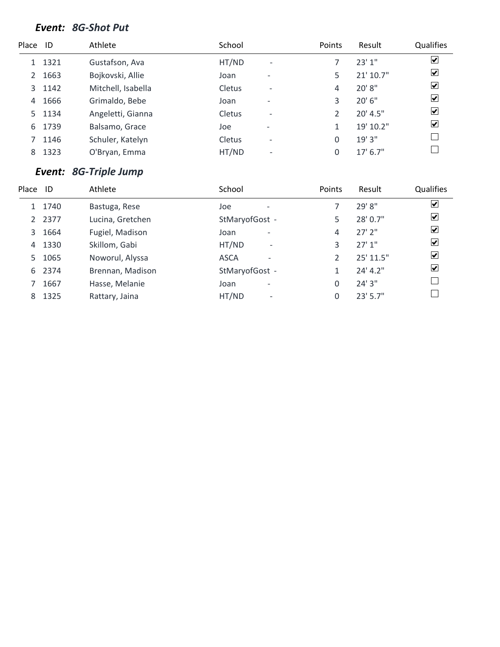### *Event: 8G-Shot Put*

| Place ID |      | Athlete            | School        |                              | Points | Result     | Qualifies               |
|----------|------|--------------------|---------------|------------------------------|--------|------------|-------------------------|
|          | 1321 | Gustafson, Ava     | HT/ND         | $\overline{\phantom{a}}$     |        | 23'1''     | $\overline{\mathbf{v}}$ |
| 2        | 1663 | Bojkovski, Allie   | Joan          | $\overline{\phantom{0}}$     | 5      | 21' 10.7"  | $\blacktriangledown$    |
| 3        | 1142 | Mitchell, Isabella | Cletus        | $\qquad \qquad$              | 4      | 20' 8"     | $\overline{\mathbf{v}}$ |
| 4        | 1666 | Grimaldo, Bebe     | Joan          | $\qquad \qquad \blacksquare$ | 3      | $20'$ 6"   | $\overline{\mathbf{v}}$ |
| 5.       | 1134 | Angeletti, Gianna  | Cletus        | $\qquad \qquad$              | C      | 20' 4.5"   | $\overline{\mathbf{v}}$ |
| 6        | 1739 | Balsamo, Grace     | Joe           | $\overline{\phantom{a}}$     | 1      | 19' 10.2"  | $\overline{\mathbf{v}}$ |
|          | 1146 | Schuler, Katelyn   | <b>Cletus</b> | $\overline{\phantom{a}}$     | 0      | 19'3''     |                         |
| 8        | 1323 | O'Bryan, Emma      | HT/ND         | $\overline{\phantom{a}}$     | 0      | $17'$ 6.7" |                         |
|          |      |                    |               |                              |        |            |                         |

### *Event: 8G-Triple Jump*

| Place | ID     | Athlete          | School                                  | Points | Result      | Qualifies               |
|-------|--------|------------------|-----------------------------------------|--------|-------------|-------------------------|
|       | 1 1740 | Bastuga, Rese    | Joe                                     |        | 29' 8"      | ☑                       |
|       | 2 2377 | Lucina, Gretchen | StMaryofGost -                          | 5      | 28' 0.7"    | ☑                       |
| 3     | 1664   | Fugiel, Madison  | Joan<br>۰                               | 4      | $27'$ $2''$ | $\overline{\mathbf{v}}$ |
| 4     | 1330   | Skillom, Gabi    | HT/ND<br>$\overline{\phantom{0}}$       | 3      | 27'1''      | $\overline{\mathbf{v}}$ |
| 5.    | 1065   | Noworul, Alyssa  | <b>ASCA</b><br>$\overline{\phantom{0}}$ |        | 25' 11.5"   | $\overline{\mathbf{v}}$ |
| 6     | 2374   | Brennan, Madison | StMaryofGost -                          |        | 24' 4.2''   | $\blacktriangledown$    |
|       | 1667   | Hasse, Melanie   | Joan<br>٠                               | 0      | 24'3''      |                         |
| 8     | 1325   | Rattary, Jaina   | HT/ND<br>$\overline{\phantom{0}}$       | O      | $23'$ 5.7"  |                         |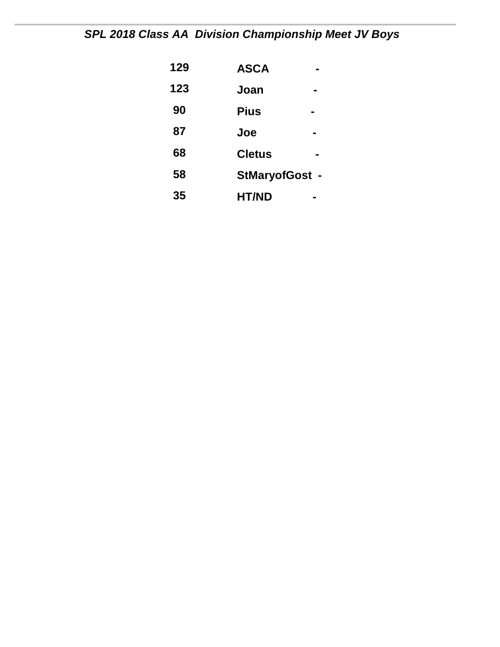*SPL 2018 Class AA Division Championship Meet JV Boys* 

| 129 | <b>ASCA</b>    |
|-----|----------------|
| 123 | Joan           |
| 90  | <b>Pius</b>    |
| 87  | Joe            |
| 68  | <b>Cletus</b>  |
| 58  | StMaryofGost - |
| 35  | <b>HT/ND</b>   |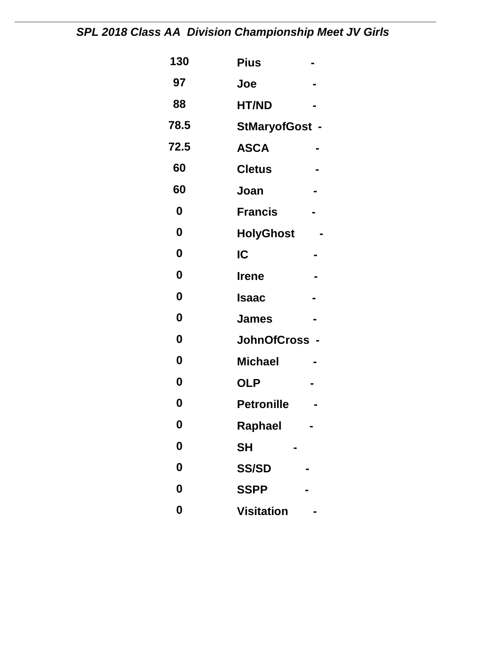# *SPL 2018 Class AA Division Championship Meet JV Girls*

| 130              | <b>Pius</b>           |
|------------------|-----------------------|
| 97               | Joe                   |
| 88               | <b>HT/ND</b>          |
| 78.5             | <b>StMaryofGost -</b> |
| 72.5             | <b>ASCA</b>           |
| 60               | <b>Cletus</b>         |
| 60               | Joan                  |
| 0                | <b>Francis</b>        |
| 0                | <b>HolyGhost</b>      |
| 0                | IC                    |
| $\boldsymbol{0}$ | <b>Irene</b>          |
| $\bf{0}$         | <b>Isaac</b>          |
| 0                | <b>James</b>          |
| $\mathbf 0$      | JohnOfCross -         |
| 0                | <b>Michael</b>        |
| 0                | <b>OLP</b>            |
| 0                | <b>Petronille</b>     |
| 0                | Raphael               |
| $\boldsymbol{0}$ | <b>SH</b>             |
| 0                | <b>SS/SD</b>          |
| 0                | <b>SSPP</b>           |
| $\boldsymbol{0}$ | <b>Visitation</b>     |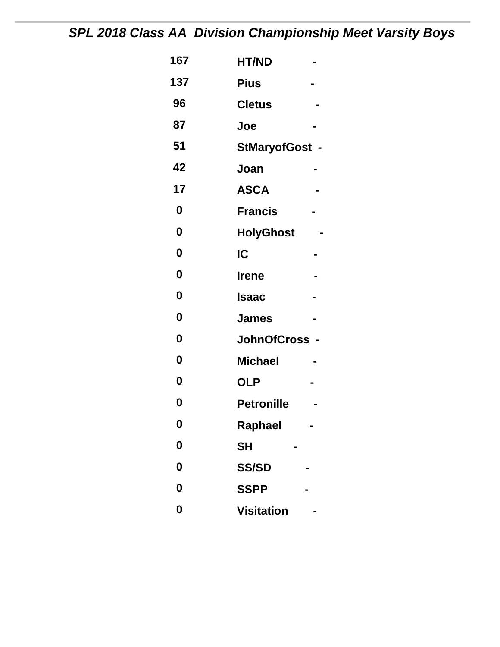# *SPL 2018 Class AA Division Championship Meet Varsity Boys*

| 167              | <b>HT/ND</b>          |
|------------------|-----------------------|
| 137              | <b>Pius</b>           |
| 96               | <b>Cletus</b>         |
| 87               | Joe                   |
| 51               | <b>StMaryofGost -</b> |
| 42               | Joan                  |
| 17               | <b>ASCA</b>           |
| $\boldsymbol{0}$ | <b>Francis</b>        |
| $\boldsymbol{0}$ | <b>HolyGhost</b>      |
| 0                | IC                    |
| $\boldsymbol{0}$ | <b>Irene</b>          |
| $\boldsymbol{0}$ | Isaac                 |
| $\boldsymbol{0}$ | <b>James</b>          |
| 0                | JohnOfCross -         |
| 0                | <b>Michael</b>        |
| $\boldsymbol{0}$ | <b>OLP</b>            |
| 0                | <b>Petronille</b>     |
| 0                | Raphael               |
| $\boldsymbol{0}$ | <b>SH</b>             |
| 0                | <b>SS/SD</b>          |
| 0                | <b>SSPP</b>           |
| $\boldsymbol{0}$ | <b>Visitation</b>     |